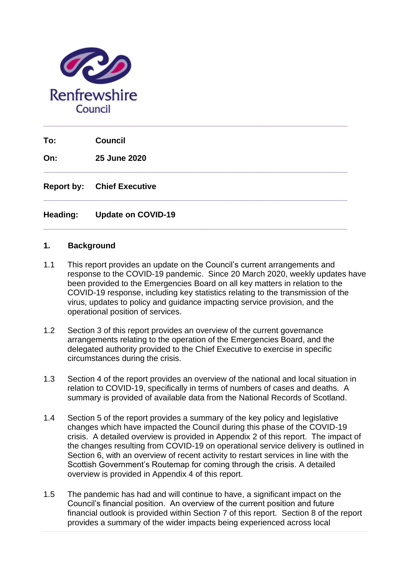

**To: Council**

**On: 25 June 2020**

**Report by: Chief Executive** 

### **Heading: Update on COVID-19**

#### **1. Background**

1.1 This report provides an update on the Council's current arrangements and response to the COVID-19 pandemic. Since 20 March 2020, weekly updates have been provided to the Emergencies Board on all key matters in relation to the COVID-19 response, including key statistics relating to the transmission of the virus, updates to policy and guidance impacting service provision, and the operational position of services.

**\_\_\_\_\_\_\_\_\_\_\_\_\_\_\_\_\_\_\_\_\_\_\_\_\_\_\_\_\_\_\_\_\_\_\_\_\_\_\_\_\_\_\_\_\_\_\_\_\_\_\_\_\_\_\_\_\_\_\_\_\_\_\_\_\_\_\_**

**\_\_\_\_\_\_\_\_\_\_\_\_\_\_\_\_\_\_\_\_\_\_\_\_\_\_\_\_\_\_\_\_\_\_\_\_\_\_\_\_\_\_\_\_\_\_\_\_\_\_\_\_\_\_\_\_\_\_\_\_\_\_\_\_\_\_\_**

**\_\_\_\_\_\_\_\_\_\_\_\_\_\_\_\_\_\_\_\_\_\_\_\_\_\_\_\_\_\_\_\_\_\_\_\_\_\_\_\_\_\_\_\_\_\_\_\_\_\_\_\_\_\_\_\_\_\_\_\_\_\_\_\_\_\_\_**

**\_\_\_\_\_\_\_\_\_\_\_\_\_\_\_\_\_\_\_\_\_\_\_\_\_\_\_\_\_\_\_\_\_\_\_\_\_\_\_\_\_\_\_\_\_\_\_\_\_\_\_\_\_\_\_\_\_\_\_\_\_\_\_\_\_\_\_**

- 1.2 Section 3 of this report provides an overview of the current governance arrangements relating to the operation of the Emergencies Board, and the delegated authority provided to the Chief Executive to exercise in specific circumstances during the crisis.
- 1.3 Section 4 of the report provides an overview of the national and local situation in relation to COVID-19, specifically in terms of numbers of cases and deaths. A summary is provided of available data from the National Records of Scotland.
- 1.4 Section 5 of the report provides a summary of the key policy and legislative changes which have impacted the Council during this phase of the COVID-19 crisis. A detailed overview is provided in Appendix 2 of this report. The impact of the changes resulting from COVID-19 on operational service delivery is outlined in Section 6, with an overview of recent activity to restart services in line with the Scottish Government's Routemap for coming through the crisis. A detailed overview is provided in Appendix 4 of this report.
- 1.5 The pandemic has had and will continue to have, a significant impact on the Council's financial position. An overview of the current position and future financial outlook is provided within Section 7 of this report. Section 8 of the report provides a summary of the wider impacts being experienced across local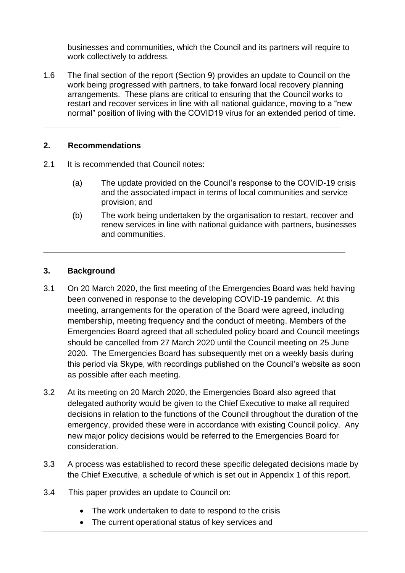businesses and communities, which the Council and its partners will require to work collectively to address.

1.6 The final section of the report (Section 9) provides an update to Council on the work being progressed with partners, to take forward local recovery planning arrangements. These plans are critical to ensuring that the Council works to restart and recover services in line with all national guidance, moving to a "new normal" position of living with the COVID19 virus for an extended period of time.

**\_\_\_\_\_\_\_\_\_\_\_\_\_\_\_\_\_\_\_\_\_\_\_\_\_\_\_\_\_\_\_\_\_\_\_\_\_\_\_\_\_\_\_\_\_\_\_\_\_\_\_\_\_\_\_\_**

### **2. Recommendations**

- 2.1 It is recommended that Council notes:
	- (a) The update provided on the Council's response to the COVID-19 crisis and the associated impact in terms of local communities and service provision; and
	- (b) The work being undertaken by the organisation to restart, recover and renew services in line with national guidance with partners, businesses and communities.

### **3. Background**

3.1 On 20 March 2020, the first meeting of the Emergencies Board was held having been convened in response to the developing COVID-19 pandemic. At this meeting, arrangements for the operation of the Board were agreed, including membership, meeting frequency and the conduct of meeting. Members of the Emergencies Board agreed that all scheduled policy board and Council meetings should be cancelled from 27 March 2020 until the Council meeting on 25 June 2020. The Emergencies Board has subsequently met on a weekly basis during this period via Skype, with recordings published on the Council's website as soon as possible after each meeting.

**\_\_\_\_\_\_\_\_\_\_\_\_\_\_\_\_\_\_\_\_\_\_\_\_\_\_\_\_\_\_\_\_\_\_\_\_\_\_\_\_\_\_\_\_\_\_\_\_\_\_\_\_\_\_\_\_\_**

- 3.2 At its meeting on 20 March 2020, the Emergencies Board also agreed that delegated authority would be given to the Chief Executive to make all required decisions in relation to the functions of the Council throughout the duration of the emergency, provided these were in accordance with existing Council policy. Any new major policy decisions would be referred to the Emergencies Board for consideration.
- 3.3 A process was established to record these specific delegated decisions made by the Chief Executive, a schedule of which is set out in Appendix 1 of this report.
- 3.4 This paper provides an update to Council on:
	- The work undertaken to date to respond to the crisis
	- The current operational status of key services and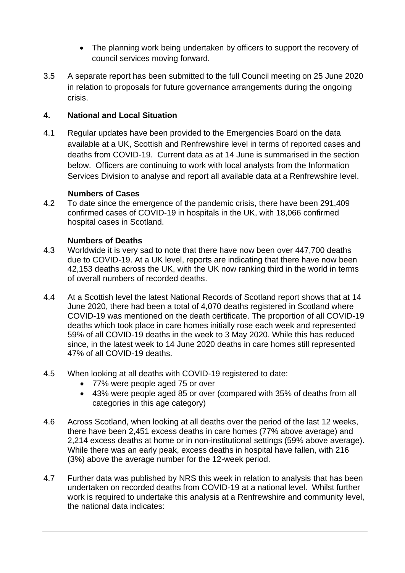- The planning work being undertaken by officers to support the recovery of council services moving forward.
- 3.5 A separate report has been submitted to the full Council meeting on 25 June 2020 in relation to proposals for future governance arrangements during the ongoing crisis.

# **4. National and Local Situation**

4.1 Regular updates have been provided to the Emergencies Board on the data available at a UK, Scottish and Renfrewshire level in terms of reported cases and deaths from COVID-19. Current data as at 14 June is summarised in the section below. Officers are continuing to work with local analysts from the Information Services Division to analyse and report all available data at a Renfrewshire level.

# **Numbers of Cases**

4.2 To date since the emergence of the pandemic crisis, there have been 291,409 confirmed cases of COVID-19 in hospitals in the UK, with 18,066 confirmed hospital cases in Scotland.

# **Numbers of Deaths**

- 4.3 Worldwide it is very sad to note that there have now been over 447,700 deaths due to COVID-19. At a UK level, reports are indicating that there have now been 42,153 deaths across the UK, with the UK now ranking third in the world in terms of overall numbers of recorded deaths.
- 4.4 At a Scottish level the latest National Records of Scotland report shows that at 14 June 2020, there had been a total of 4,070 deaths registered in Scotland where COVID-19 was mentioned on the death certificate. The proportion of all COVID-19 deaths which took place in care homes initially rose each week and represented 59% of all COVID-19 deaths in the week to 3 May 2020. While this has reduced since, in the latest week to 14 June 2020 deaths in care homes still represented 47% of all COVID-19 deaths.
- 4.5 When looking at all deaths with COVID-19 registered to date:
	- 77% were people aged 75 or over
	- 43% were people aged 85 or over (compared with 35% of deaths from all categories in this age category)
- 4.6 Across Scotland, when looking at all deaths over the period of the last 12 weeks, there have been 2,451 excess deaths in care homes (77% above average) and 2,214 excess deaths at home or in non-institutional settings (59% above average). While there was an early peak, excess deaths in hospital have fallen, with 216 (3%) above the average number for the 12-week period.
- 4.7 Further data was published by NRS this week in relation to analysis that has been undertaken on recorded deaths from COVID-19 at a national level. Whilst further work is required to undertake this analysis at a Renfrewshire and community level. the national data indicates: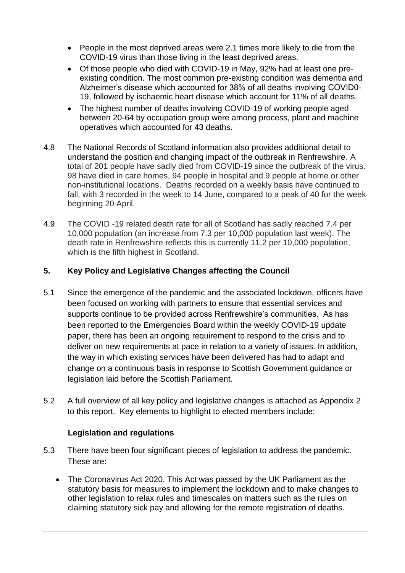- People in the most deprived areas were 2.1 times more likely to die from the COVID-19 virus than those living in the least deprived areas.
- Of those people who died with COVID-19 in May, 92% had at least one preexisting condition. The most common pre-existing condition was dementia and Alzheimer's disease which accounted for 38% of all deaths involving COVID0- 19, followed by ischaemic heart disease which account for 11% of all deaths.
- The highest number of deaths involving COVID-19 of working people aged between 20-64 by occupation group were among process, plant and machine operatives which accounted for 43 deaths.
- 4.8 The National Records of Scotland information also provides additional detail to understand the position and changing impact of the outbreak in Renfrewshire. A total of 201 people have sadly died from COVID-19 since the outbreak of the virus. 98 have died in care homes, 94 people in hospital and 9 people at home or other non-institutional locations. Deaths recorded on a weekly basis have continued to fall, with 3 recorded in the week to 14 June, compared to a peak of 40 for the week beginning 20 April.
- 4.9 The COVID -19 related death rate for all of Scotland has sadly reached 7.4 per 10,000 population (an increase from 7.3 per 10,000 population last week). The death rate in Renfrewshire reflects this is currently 11.2 per 10,000 population, which is the fifth highest in Scotland.

# **5. Key Policy and Legislative Changes affecting the Council**

- 5.1 Since the emergence of the pandemic and the associated lockdown, officers have been focused on working with partners to ensure that essential services and supports continue to be provided across Renfrewshire's communities. As has been reported to the Emergencies Board within the weekly COVID-19 update paper, there has been an ongoing requirement to respond to the crisis and to deliver on new requirements at pace in relation to a variety of issues. In addition, the way in which existing services have been delivered has had to adapt and change on a continuous basis in response to Scottish Government guidance or legislation laid before the Scottish Parliament.
- 5.2 A full overview of all key policy and legislative changes is attached as Appendix 2 to this report. Key elements to highlight to elected members include:

# **Legislation and regulations**

- 5.3 There have been four significant pieces of legislation to address the pandemic. These are:
	- The Coronavirus Act 2020. This Act was passed by the UK Parliament as the statutory basis for measures to implement the lockdown and to make changes to other legislation to relax rules and timescales on matters such as the rules on claiming statutory sick pay and allowing for the remote registration of deaths.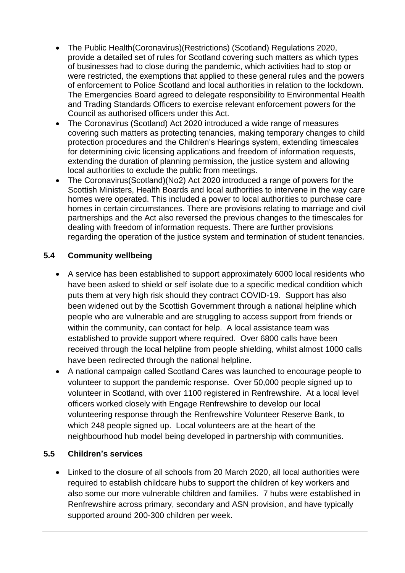- The Public Health(Coronavirus)(Restrictions) (Scotland) Regulations 2020, provide a detailed set of rules for Scotland covering such matters as which types of businesses had to close during the pandemic, which activities had to stop or were restricted, the exemptions that applied to these general rules and the powers of enforcement to Police Scotland and local authorities in relation to the lockdown. The Emergencies Board agreed to delegate responsibility to Environmental Health and Trading Standards Officers to exercise relevant enforcement powers for the Council as authorised officers under this Act.
- The Coronavirus (Scotland) Act 2020 introduced a wide range of measures covering such matters as protecting tenancies, making temporary changes to child protection procedures and the Children's Hearings system, extending timescales for determining civic licensing applications and freedom of information requests, extending the duration of planning permission, the justice system and allowing local authorities to exclude the public from meetings.
- The Coronavirus(Scotland)(No2) Act 2020 introduced a range of powers for the Scottish Ministers, Health Boards and local authorities to intervene in the way care homes were operated. This included a power to local authorities to purchase care homes in certain circumstances. There are provisions relating to marriage and civil partnerships and the Act also reversed the previous changes to the timescales for dealing with freedom of information requests. There are further provisions regarding the operation of the justice system and termination of student tenancies.

# **5.4 Community wellbeing**

- A service has been established to support approximately 6000 local residents who have been asked to shield or self isolate due to a specific medical condition which puts them at very high risk should they contract COVID-19. Support has also been widened out by the Scottish Government through a national helpline which people who are vulnerable and are struggling to access support from friends or within the community, can contact for help. A local assistance team was established to provide support where required. Over 6800 calls have been received through the local helpline from people shielding, whilst almost 1000 calls have been redirected through the national helpline.
- A national campaign called Scotland Cares was launched to encourage people to volunteer to support the pandemic response. Over 50,000 people signed up to volunteer in Scotland, with over 1100 registered in Renfrewshire. At a local level officers worked closely with Engage Renfrewshire to develop our local volunteering response through the Renfrewshire Volunteer Reserve Bank, to which 248 people signed up. Local volunteers are at the heart of the neighbourhood hub model being developed in partnership with communities.

# **5.5 Children's services**

• Linked to the closure of all schools from 20 March 2020, all local authorities were required to establish childcare hubs to support the children of key workers and also some our more vulnerable children and families. 7 hubs were established in Renfrewshire across primary, secondary and ASN provision, and have typically supported around 200-300 children per week.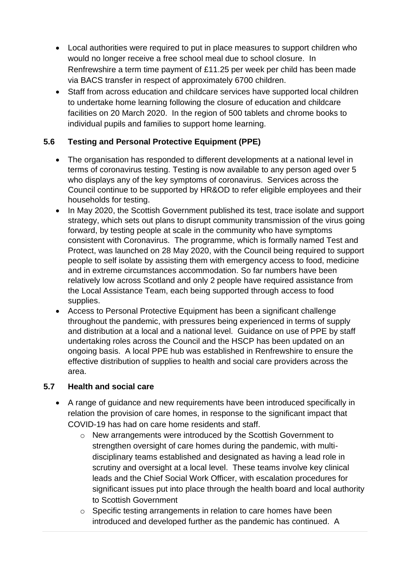- Local authorities were required to put in place measures to support children who would no longer receive a free school meal due to school closure. In Renfrewshire a term time payment of £11.25 per week per child has been made via BACS transfer in respect of approximately 6700 children.
- Staff from across education and childcare services have supported local children to undertake home learning following the closure of education and childcare facilities on 20 March 2020. In the region of 500 tablets and chrome books to individual pupils and families to support home learning.

# **5.6 Testing and Personal Protective Equipment (PPE)**

- The organisation has responded to different developments at a national level in terms of coronavirus testing. Testing is now available to any person aged over 5 who displays any of the key symptoms of coronavirus. Services across the Council continue to be supported by HR&OD to refer eligible employees and their households for testing.
- In May 2020, the Scottish Government published its test, trace isolate and support strategy, which sets out plans to disrupt community transmission of the virus going forward, by testing people at scale in the community who have symptoms consistent with Coronavirus. The programme, which is formally named Test and Protect, was launched on 28 May 2020, with the Council being required to support people to self isolate by assisting them with emergency access to food, medicine and in extreme circumstances accommodation. So far numbers have been relatively low across Scotland and only 2 people have required assistance from the Local Assistance Team, each being supported through access to food supplies.
- Access to Personal Protective Equipment has been a significant challenge throughout the pandemic, with pressures being experienced in terms of supply and distribution at a local and a national level. Guidance on use of PPE by staff undertaking roles across the Council and the HSCP has been updated on an ongoing basis. A local PPE hub was established in Renfrewshire to ensure the effective distribution of supplies to health and social care providers across the area.

# **5.7 Health and social care**

- A range of guidance and new requirements have been introduced specifically in relation the provision of care homes, in response to the significant impact that COVID-19 has had on care home residents and staff.
	- o New arrangements were introduced by the Scottish Government to strengthen oversight of care homes during the pandemic, with multidisciplinary teams established and designated as having a lead role in scrutiny and oversight at a local level. These teams involve key clinical leads and the Chief Social Work Officer, with escalation procedures for significant issues put into place through the health board and local authority to Scottish Government
	- o Specific testing arrangements in relation to care homes have been introduced and developed further as the pandemic has continued. A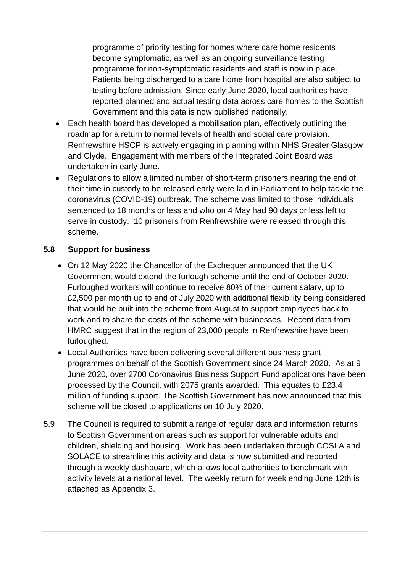programme of priority testing for homes where care home residents become symptomatic, as well as an ongoing surveillance testing programme for non-symptomatic residents and staff is now in place. Patients being discharged to a care home from hospital are also subject to testing before admission. Since early June 2020, local authorities have reported planned and actual testing data across care homes to the Scottish Government and this data is now published nationally.

- Each health board has developed a mobilisation plan, effectively outlining the roadmap for a return to normal levels of health and social care provision. Renfrewshire HSCP is actively engaging in planning within NHS Greater Glasgow and Clyde. Engagement with members of the Integrated Joint Board was undertaken in early June.
- Regulations to allow a limited number of short-term prisoners nearing the end of their time in custody to be released early were laid in Parliament to help tackle the coronavirus (COVID-19) outbreak. The scheme was limited to those individuals sentenced to 18 months or less and who on 4 May had 90 days or less left to serve in custody. 10 prisoners from Renfrewshire were released through this scheme.

# **5.8 Support for business**

- On 12 May 2020 the Chancellor of the Exchequer announced that the UK Government would extend the furlough scheme until the end of October 2020. Furloughed workers will continue to receive 80% of their current salary, up to £2,500 per month up to end of July 2020 with additional flexibility being considered that would be built into the scheme from August to support employees back to work and to share the costs of the scheme with businesses. Recent data from HMRC suggest that in the region of 23,000 people in Renfrewshire have been furloughed.
- Local Authorities have been delivering several different business grant programmes on behalf of the Scottish Government since 24 March 2020. As at 9 June 2020, over 2700 Coronavirus Business Support Fund applications have been processed by the Council, with 2075 grants awarded. This equates to £23.4 million of funding support. The Scottish Government has now announced that this scheme will be closed to applications on 10 July 2020.
- 5.9 The Council is required to submit a range of regular data and information returns to Scottish Government on areas such as support for vulnerable adults and children, shielding and housing. Work has been undertaken through COSLA and SOLACE to streamline this activity and data is now submitted and reported through a weekly dashboard, which allows local authorities to benchmark with activity levels at a national level. The weekly return for week ending June 12th is attached as Appendix 3.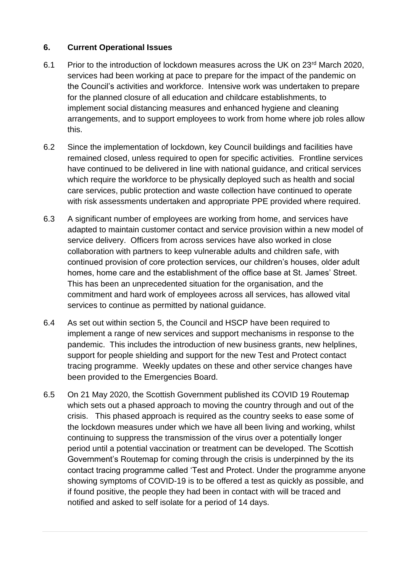# **6. Current Operational Issues**

- 6.1 Prior to the introduction of lockdown measures across the UK on 23<sup>rd</sup> March 2020, services had been working at pace to prepare for the impact of the pandemic on the Council's activities and workforce. Intensive work was undertaken to prepare for the planned closure of all education and childcare establishments, to implement social distancing measures and enhanced hygiene and cleaning arrangements, and to support employees to work from home where job roles allow this.
- 6.2 Since the implementation of lockdown, key Council buildings and facilities have remained closed, unless required to open for specific activities. Frontline services have continued to be delivered in line with national guidance, and critical services which require the workforce to be physically deployed such as health and social care services, public protection and waste collection have continued to operate with risk assessments undertaken and appropriate PPE provided where required.
- 6.3 A significant number of employees are working from home, and services have adapted to maintain customer contact and service provision within a new model of service delivery. Officers from across services have also worked in close collaboration with partners to keep vulnerable adults and children safe, with continued provision of core protection services, our children's houses, older adult homes, home care and the establishment of the office base at St. James' Street. This has been an unprecedented situation for the organisation, and the commitment and hard work of employees across all services, has allowed vital services to continue as permitted by national guidance.
- 6.4 As set out within section 5, the Council and HSCP have been required to implement a range of new services and support mechanisms in response to the pandemic. This includes the introduction of new business grants, new helplines, support for people shielding and support for the new Test and Protect contact tracing programme. Weekly updates on these and other service changes have been provided to the Emergencies Board.
- 6.5 On 21 May 2020, the Scottish Government published its COVID 19 Routemap which sets out a phased approach to moving the country through and out of the crisis. This phased approach is required as the country seeks to ease some of the lockdown measures under which we have all been living and working, whilst continuing to suppress the transmission of the virus over a potentially longer period until a potential vaccination or treatment can be developed. The Scottish Government's Routemap for coming through the crisis is underpinned by the its contact tracing programme called 'Test and Protect. Under the programme anyone showing symptoms of COVID-19 is to be offered a test as quickly as possible, and if found positive, the people they had been in contact with will be traced and notified and asked to self isolate for a period of 14 days.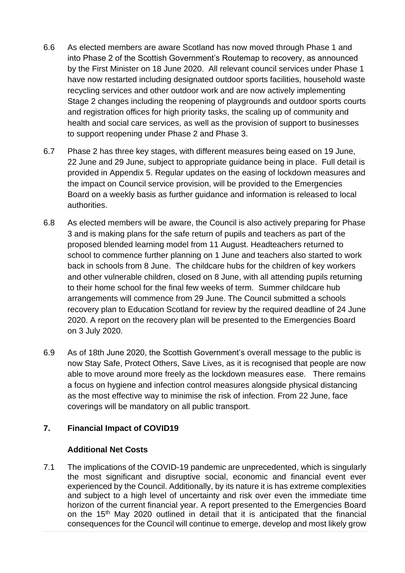- 6.6 As elected members are aware Scotland has now moved through Phase 1 and into Phase 2 of the Scottish Government's Routemap to recovery, as announced by the First Minister on 18 June 2020. All relevant council services under Phase 1 have now restarted including designated outdoor sports facilities, household waste recycling services and other outdoor work and are now actively implementing Stage 2 changes including the reopening of playgrounds and outdoor sports courts and registration offices for high priority tasks, the scaling up of community and health and social care services, as well as the provision of support to businesses to support reopening under Phase 2 and Phase 3.
- 6.7 Phase 2 has three key stages, with different measures being eased on 19 June, 22 June and 29 June, subject to appropriate guidance being in place. Full detail is provided in Appendix 5. Regular updates on the easing of lockdown measures and the impact on Council service provision, will be provided to the Emergencies Board on a weekly basis as further guidance and information is released to local authorities.
- 6.8 As elected members will be aware, the Council is also actively preparing for Phase 3 and is making plans for the safe return of pupils and teachers as part of the proposed blended learning model from 11 August. Headteachers returned to school to commence further planning on 1 June and teachers also started to work back in schools from 8 June. The childcare hubs for the children of key workers and other vulnerable children, closed on 8 June, with all attending pupils returning to their home school for the final few weeks of term. Summer childcare hub arrangements will commence from 29 June. The Council submitted a schools recovery plan to Education Scotland for review by the required deadline of 24 June 2020. A report on the recovery plan will be presented to the Emergencies Board on 3 July 2020.
- 6.9 As of 18th June 2020, the Scottish Government's overall message to the public is now Stay Safe, Protect Others, Save Lives, as it is recognised that people are now able to move around more freely as the lockdown measures ease. There remains a focus on hygiene and infection control measures alongside physical distancing as the most effective way to minimise the risk of infection. From 22 June, face coverings will be mandatory on all public transport.

# **7. Financial Impact of COVID19**

# **Additional Net Costs**

7.1 The implications of the COVID-19 pandemic are unprecedented, which is singularly the most significant and disruptive social, economic and financial event ever experienced by the Council. Additionally, by its nature it is has extreme complexities and subject to a high level of uncertainty and risk over even the immediate time horizon of the current financial year. A report presented to the Emergencies Board on the 15<sup>th</sup> May 2020 outlined in detail that it is anticipated that the financial consequences for the Council will continue to emerge, develop and most likely grow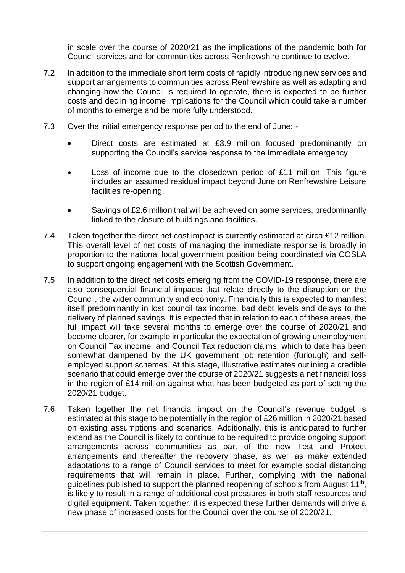in scale over the course of 2020/21 as the implications of the pandemic both for Council services and for communities across Renfrewshire continue to evolve.

- 7.2 In addition to the immediate short term costs of rapidly introducing new services and support arrangements to communities across Renfrewshire as well as adapting and changing how the Council is required to operate, there is expected to be further costs and declining income implications for the Council which could take a number of months to emerge and be more fully understood.
- 7.3 Over the initial emergency response period to the end of June:
	- Direct costs are estimated at £3.9 million focused predominantly on supporting the Council's service response to the immediate emergency.
	- Loss of income due to the closedown period of  $£11$  million. This figure includes an assumed residual impact beyond June on Renfrewshire Leisure facilities re-opening.
	- Savings of £2.6 million that will be achieved on some services, predominantly linked to the closure of buildings and facilities.
- 7.4 Taken together the direct net cost impact is currently estimated at circa £12 million. This overall level of net costs of managing the immediate response is broadly in proportion to the national local government position being coordinated via COSLA to support ongoing engagement with the Scottish Government.
- 7.5 In addition to the direct net costs emerging from the COVID-19 response, there are also consequential financial impacts that relate directly to the disruption on the Council, the wider community and economy. Financially this is expected to manifest itself predominantly in lost council tax income, bad debt levels and delays to the delivery of planned savings. It is expected that in relation to each of these areas, the full impact will take several months to emerge over the course of 2020/21 and become clearer, for example in particular the expectation of growing unemployment on Council Tax income and Council Tax reduction claims, which to date has been somewhat dampened by the UK government job retention (furlough) and selfemployed support schemes. At this stage, illustrative estimates outlining a credible scenario that could emerge over the course of 2020/21 suggests a net financial loss in the region of £14 million against what has been budgeted as part of setting the 2020/21 budget.
- 7.6 Taken together the net financial impact on the Council's revenue budget is estimated at this stage to be potentially in the region of £26 million in 2020/21 based on existing assumptions and scenarios. Additionally, this is anticipated to further extend as the Council is likely to continue to be required to provide ongoing support arrangements across communities as part of the new Test and Protect arrangements and thereafter the recovery phase, as well as make extended adaptations to a range of Council services to meet for example social distancing requirements that will remain in place. Further, complying with the national guidelines published to support the planned reopening of schools from August 11<sup>th</sup>, is likely to result in a range of additional cost pressures in both staff resources and digital equipment. Taken together, it is expected these further demands will drive a new phase of increased costs for the Council over the course of 2020/21.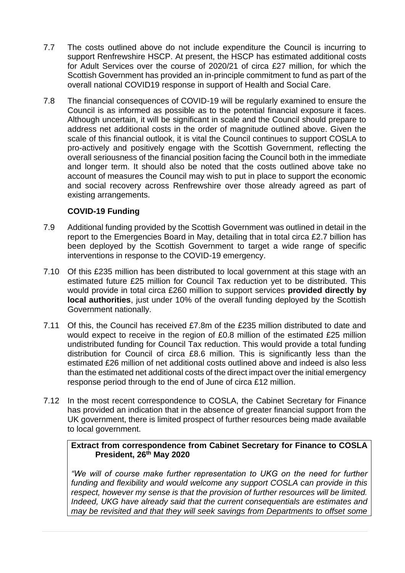- 7.7 The costs outlined above do not include expenditure the Council is incurring to support Renfrewshire HSCP. At present, the HSCP has estimated additional costs for Adult Services over the course of 2020/21 of circa £27 million, for which the Scottish Government has provided an in-principle commitment to fund as part of the overall national COVID19 response in support of Health and Social Care.
- 7.8 The financial consequences of COVID-19 will be regularly examined to ensure the Council is as informed as possible as to the potential financial exposure it faces. Although uncertain, it will be significant in scale and the Council should prepare to address net additional costs in the order of magnitude outlined above. Given the scale of this financial outlook, it is vital the Council continues to support COSLA to pro-actively and positively engage with the Scottish Government, reflecting the overall seriousness of the financial position facing the Council both in the immediate and longer term. It should also be noted that the costs outlined above take no account of measures the Council may wish to put in place to support the economic and social recovery across Renfrewshire over those already agreed as part of existing arrangements.

# **COVID-19 Funding**

- 7.9 Additional funding provided by the Scottish Government was outlined in detail in the report to the Emergencies Board in May, detailing that in total circa £2.7 billion has been deployed by the Scottish Government to target a wide range of specific interventions in response to the COVID-19 emergency.
- 7.10 Of this £235 million has been distributed to local government at this stage with an estimated future £25 million for Council Tax reduction yet to be distributed. This would provide in total circa £260 million to support services **provided directly by local authorities**, just under 10% of the overall funding deployed by the Scottish Government nationally.
- 7.11 Of this, the Council has received £7.8m of the £235 million distributed to date and would expect to receive in the region of £0.8 million of the estimated £25 million undistributed funding for Council Tax reduction. This would provide a total funding distribution for Council of circa £8.6 million. This is significantly less than the estimated £26 million of net additional costs outlined above and indeed is also less than the estimated net additional costs of the direct impact over the initial emergency response period through to the end of June of circa £12 million.
- 7.12 In the most recent correspondence to COSLA, the Cabinet Secretary for Finance has provided an indication that in the absence of greater financial support from the UK government, there is limited prospect of further resources being made available to local government.

**Extract from correspondence from Cabinet Secretary for Finance to COSLA President, 26th May 2020**

"We will of course make further representation to UKG on the need for further *funding and flexibility and would welcome any support COSLA can provide in this respect, however my sense is that the provision of further resources will be limited. Indeed, UKG have already said that the current consequentials are estimates and may be revisited and that they will seek savings from Departments to offset some*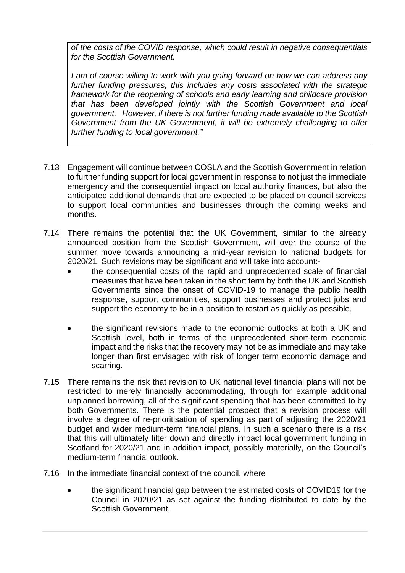*of the costs of the COVID response, which could result in negative consequentials for the Scottish Government.* 

*I am of course willing to work with you going forward on how we can address any further funding pressures, this includes any costs associated with the strategic framework for the reopening of schools and early learning and childcare provision that has been developed jointly with the Scottish Government and local government. However, if there is not further funding made available to the Scottish Government from the UK Government, it will be extremely challenging to offer further funding to local government."*

- 7.13 Engagement will continue between COSLA and the Scottish Government in relation to further funding support for local government in response to not just the immediate emergency and the consequential impact on local authority finances, but also the anticipated additional demands that are expected to be placed on council services to support local communities and businesses through the coming weeks and months.
- 7.14 There remains the potential that the UK Government, similar to the already announced position from the Scottish Government, will over the course of the summer move towards announcing a mid-year revision to national budgets for 2020/21. Such revisions may be significant and will take into account:-
	- the consequential costs of the rapid and unprecedented scale of financial measures that have been taken in the short term by both the UK and Scottish Governments since the onset of COVID-19 to manage the public health response, support communities, support businesses and protect jobs and support the economy to be in a position to restart as quickly as possible,
	- the significant revisions made to the economic outlooks at both a UK and Scottish level, both in terms of the unprecedented short-term economic impact and the risks that the recovery may not be as immediate and may take longer than first envisaged with risk of longer term economic damage and scarring.
- 7.15 There remains the risk that revision to UK national level financial plans will not be restricted to merely financially accommodating, through for example additional unplanned borrowing, all of the significant spending that has been committed to by both Governments. There is the potential prospect that a revision process will involve a degree of re-prioritisation of spending as part of adjusting the 2020/21 budget and wider medium-term financial plans. In such a scenario there is a risk that this will ultimately filter down and directly impact local government funding in Scotland for 2020/21 and in addition impact, possibly materially, on the Council's medium-term financial outlook.
- 7.16 In the immediate financial context of the council, where
	- the significant financial gap between the estimated costs of COVID19 for the Council in 2020/21 as set against the funding distributed to date by the Scottish Government,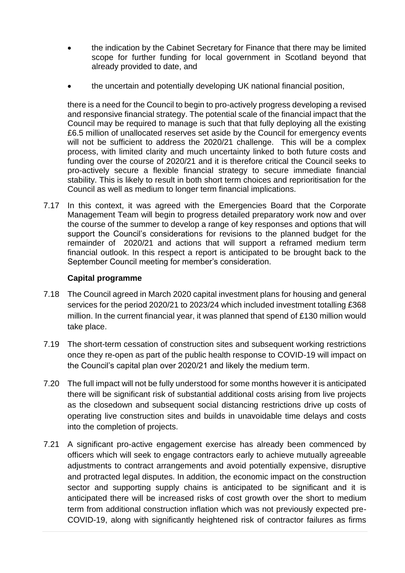- the indication by the Cabinet Secretary for Finance that there may be limited scope for further funding for local government in Scotland beyond that already provided to date, and
- the uncertain and potentially developing UK national financial position,

there is a need for the Council to begin to pro-actively progress developing a revised and responsive financial strategy. The potential scale of the financial impact that the Council may be required to manage is such that that fully deploying all the existing £6.5 million of unallocated reserves set aside by the Council for emergency events will not be sufficient to address the 2020/21 challenge. This will be a complex process, with limited clarity and much uncertainty linked to both future costs and funding over the course of 2020/21 and it is therefore critical the Council seeks to pro-actively secure a flexible financial strategy to secure immediate financial stability. This is likely to result in both short term choices and reprioritisation for the Council as well as medium to longer term financial implications.

7.17 In this context, it was agreed with the Emergencies Board that the Corporate Management Team will begin to progress detailed preparatory work now and over the course of the summer to develop a range of key responses and options that will support the Council's considerations for revisions to the planned budget for the remainder of 2020/21 and actions that will support a reframed medium term financial outlook. In this respect a report is anticipated to be brought back to the September Council meeting for member's consideration.

# **Capital programme**

- 7.18 The Council agreed in March 2020 capital investment plans for housing and general services for the period 2020/21 to 2023/24 which included investment totalling £368 million. In the current financial year, it was planned that spend of £130 million would take place.
- 7.19 The short-term cessation of construction sites and subsequent working restrictions once they re-open as part of the public health response to COVID-19 will impact on the Council's capital plan over 2020/21 and likely the medium term.
- 7.20 The full impact will not be fully understood for some months however it is anticipated there will be significant risk of substantial additional costs arising from live projects as the closedown and subsequent social distancing restrictions drive up costs of operating live construction sites and builds in unavoidable time delays and costs into the completion of projects.
- 7.21 A significant pro-active engagement exercise has already been commenced by officers which will seek to engage contractors early to achieve mutually agreeable adjustments to contract arrangements and avoid potentially expensive, disruptive and protracted legal disputes. In addition, the economic impact on the construction sector and supporting supply chains is anticipated to be significant and it is anticipated there will be increased risks of cost growth over the short to medium term from additional construction inflation which was not previously expected pre-COVID-19, along with significantly heightened risk of contractor failures as firms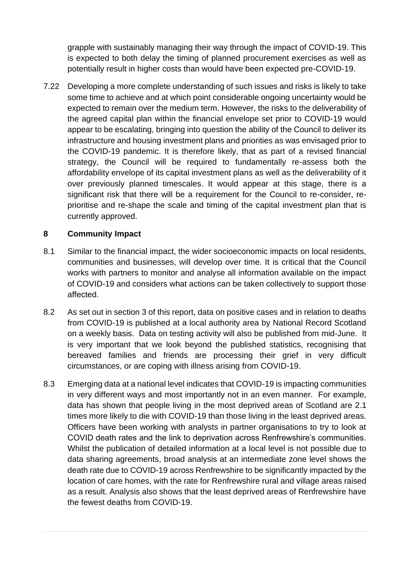grapple with sustainably managing their way through the impact of COVID-19. This is expected to both delay the timing of planned procurement exercises as well as potentially result in higher costs than would have been expected pre-COVID-19.

7.22 Developing a more complete understanding of such issues and risks is likely to take some time to achieve and at which point considerable ongoing uncertainty would be expected to remain over the medium term. However, the risks to the deliverability of the agreed capital plan within the financial envelope set prior to COVID-19 would appear to be escalating, bringing into question the ability of the Council to deliver its infrastructure and housing investment plans and priorities as was envisaged prior to the COVID-19 pandemic. It is therefore likely, that as part of a revised financial strategy, the Council will be required to fundamentally re-assess both the affordability envelope of its capital investment plans as well as the deliverability of it over previously planned timescales. It would appear at this stage, there is a significant risk that there will be a requirement for the Council to re-consider, reprioritise and re-shape the scale and timing of the capital investment plan that is currently approved.

# **8 Community Impact**

- 8.1 Similar to the financial impact, the wider socioeconomic impacts on local residents, communities and businesses, will develop over time. It is critical that the Council works with partners to monitor and analyse all information available on the impact of COVID-19 and considers what actions can be taken collectively to support those affected.
- 8.2 As set out in section 3 of this report, data on positive cases and in relation to deaths from COVID-19 is published at a local authority area by National Record Scotland on a weekly basis. Data on testing activity will also be published from mid-June. It is very important that we look beyond the published statistics, recognising that bereaved families and friends are processing their grief in very difficult circumstances, or are coping with illness arising from COVID-19.
- 8.3 Emerging data at a national level indicates that COVID-19 is impacting communities in very different ways and most importantly not in an even manner. For example, data has shown that people living in the most deprived areas of Scotland are 2.1 times more likely to die with COVID-19 than those living in the least deprived areas. Officers have been working with analysts in partner organisations to try to look at COVID death rates and the link to deprivation across Renfrewshire's communities. Whilst the publication of detailed information at a local level is not possible due to data sharing agreements, broad analysis at an intermediate zone level shows the death rate due to COVID-19 across Renfrewshire to be significantly impacted by the location of care homes, with the rate for Renfrewshire rural and village areas raised as a result. Analysis also shows that the least deprived areas of Renfrewshire have the fewest deaths from COVID-19.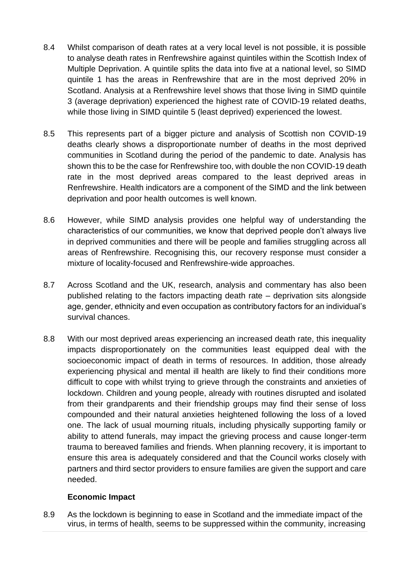- 8.4 Whilst comparison of death rates at a very local level is not possible, it is possible to analyse death rates in Renfrewshire against quintiles within the Scottish Index of Multiple Deprivation. A quintile splits the data into five at a national level, so SIMD quintile 1 has the areas in Renfrewshire that are in the most deprived 20% in Scotland. Analysis at a Renfrewshire level shows that those living in SIMD quintile 3 (average deprivation) experienced the highest rate of COVID-19 related deaths, while those living in SIMD quintile 5 (least deprived) experienced the lowest.
- 8.5 This represents part of a bigger picture and analysis of Scottish non COVID-19 deaths clearly shows a disproportionate number of deaths in the most deprived communities in Scotland during the period of the pandemic to date. Analysis has shown this to be the case for Renfrewshire too, with double the non COVID-19 death rate in the most deprived areas compared to the least deprived areas in Renfrewshire. Health indicators are a component of the SIMD and the link between deprivation and poor health outcomes is well known.
- 8.6 However, while SIMD analysis provides one helpful way of understanding the characteristics of our communities, we know that deprived people don't always live in deprived communities and there will be people and families struggling across all areas of Renfrewshire. Recognising this, our recovery response must consider a mixture of locality-focused and Renfrewshire-wide approaches.
- 8.7 Across Scotland and the UK, research, analysis and commentary has also been published relating to the factors impacting death rate – deprivation sits alongside age, gender, ethnicity and even occupation as contributory factors for an individual's survival chances.
- 8.8 With our most deprived areas experiencing an increased death rate, this inequality impacts disproportionately on the communities least equipped deal with the socioeconomic impact of death in terms of resources. In addition, those already experiencing physical and mental ill health are likely to find their conditions more difficult to cope with whilst trying to grieve through the constraints and anxieties of lockdown. Children and young people, already with routines disrupted and isolated from their grandparents and their friendship groups may find their sense of loss compounded and their natural anxieties heightened following the loss of a loved one. The lack of usual mourning rituals, including physically supporting family or ability to attend funerals, may impact the grieving process and cause longer-term trauma to bereaved families and friends. When planning recovery, it is important to ensure this area is adequately considered and that the Council works closely with partners and third sector providers to ensure families are given the support and care needed.

# **Economic Impact**

8.9 As the lockdown is beginning to ease in Scotland and the immediate impact of the virus, in terms of health, seems to be suppressed within the community, increasing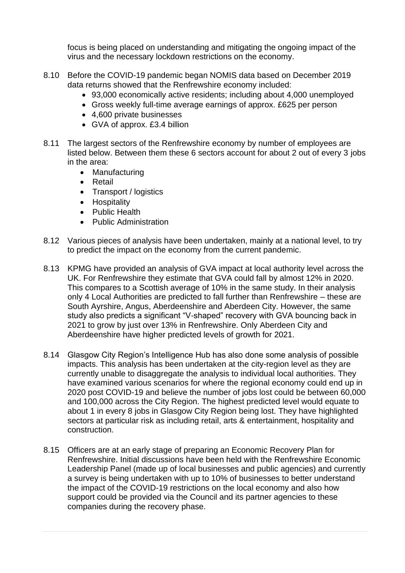focus is being placed on understanding and mitigating the ongoing impact of the virus and the necessary lockdown restrictions on the economy.

- 8.10 Before the COVID-19 pandemic began NOMIS data based on December 2019 data returns showed that the Renfrewshire economy included:
	- 93,000 economically active residents; including about 4,000 unemployed
	- Gross weekly full-time average earnings of approx. £625 per person
	- 4,600 private businesses
	- GVA of approx. £3.4 billion
- 8.11 The largest sectors of the Renfrewshire economy by number of employees are listed below. Between them these 6 sectors account for about 2 out of every 3 jobs in the area:
	- Manufacturing
	- Retail
	- Transport / logistics
	- Hospitality
	- Public Health
	- Public Administration
- 8.12 Various pieces of analysis have been undertaken, mainly at a national level, to try to predict the impact on the economy from the current pandemic.
- 8.13 KPMG have provided an analysis of GVA impact at local authority level across the UK. For Renfrewshire they estimate that GVA could fall by almost 12% in 2020. This compares to a Scottish average of 10% in the same study. In their analysis only 4 Local Authorities are predicted to fall further than Renfrewshire – these are South Ayrshire, Angus, Aberdeenshire and Aberdeen City. However, the same study also predicts a significant "V-shaped" recovery with GVA bouncing back in 2021 to grow by just over 13% in Renfrewshire. Only Aberdeen City and Aberdeenshire have higher predicted levels of growth for 2021.
- 8.14 Glasgow City Region's Intelligence Hub has also done some analysis of possible impacts. This analysis has been undertaken at the city-region level as they are currently unable to disaggregate the analysis to individual local authorities. They have examined various scenarios for where the regional economy could end up in 2020 post COVID-19 and believe the number of jobs lost could be between 60,000 and 100,000 across the City Region. The highest predicted level would equate to about 1 in every 8 jobs in Glasgow City Region being lost. They have highlighted sectors at particular risk as including retail, arts & entertainment, hospitality and construction.
- 8.15 Officers are at an early stage of preparing an Economic Recovery Plan for Renfrewshire. Initial discussions have been held with the Renfrewshire Economic Leadership Panel (made up of local businesses and public agencies) and currently a survey is being undertaken with up to 10% of businesses to better understand the impact of the COVID-19 restrictions on the local economy and also how support could be provided via the Council and its partner agencies to these companies during the recovery phase.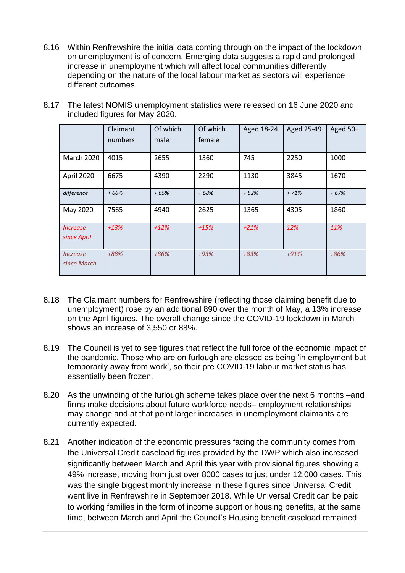8.16 Within Renfrewshire the initial data coming through on the impact of the lockdown on unemployment is of concern. Emerging data suggests a rapid and prolonged increase in unemployment which will affect local communities differently depending on the nature of the local labour market as sectors will experience different outcomes.

|                                              | Claimant<br>numbers | Of which<br>male | Of which<br>female | Aged 18-24 | Aged 25-49 | Aged 50+ |
|----------------------------------------------|---------------------|------------------|--------------------|------------|------------|----------|
| <b>March 2020</b>                            | 4015                | 2655             | 1360               | 745        | 2250       | 1000     |
| April 2020                                   | 6675                | 4390             | 2290               | 1130       | 3845       | 1670     |
| difference                                   | $+66%$              | $+65%$           | $+68%$             | $+52%$     | $+71%$     | $+67%$   |
| May 2020                                     | 7565                | 4940             | 2625               | 1365       | 4305       | 1860     |
| <i><u><b>Increase</b></u></i><br>since April | $+13%$              | $+12%$           | $+15%$             | $+21%$     | 12%        | 11%      |
| <i><u><b>Increase</b></u></i><br>since March | +88%                | $+86%$           | $+93%$             | $+83%$     | $+91%$     | $+86%$   |

8.17 The latest NOMIS unemployment statistics were released on 16 June 2020 and included figures for May 2020.

- 8.18 The Claimant numbers for Renfrewshire (reflecting those claiming benefit due to unemployment) rose by an additional 890 over the month of May, a 13% increase on the April figures. The overall change since the COVID-19 lockdown in March shows an increase of 3,550 or 88%.
- 8.19 The Council is yet to see figures that reflect the full force of the economic impact of the pandemic. Those who are on furlough are classed as being 'in employment but temporarily away from work', so their pre COVID-19 labour market status has essentially been frozen.
- 8.20 As the unwinding of the furlough scheme takes place over the next 6 months –and firms make decisions about future workforce needs– employment relationships may change and at that point larger increases in unemployment claimants are currently expected.
- 8.21 Another indication of the economic pressures facing the community comes from the Universal Credit caseload figures provided by the DWP which also increased significantly between March and April this year with provisional figures showing a 49% increase, moving from just over 8000 cases to just under 12,000 cases. This was the single biggest monthly increase in these figures since Universal Credit went live in Renfrewshire in September 2018. While Universal Credit can be paid to working families in the form of income support or housing benefits, at the same time, between March and April the Council's Housing benefit caseload remained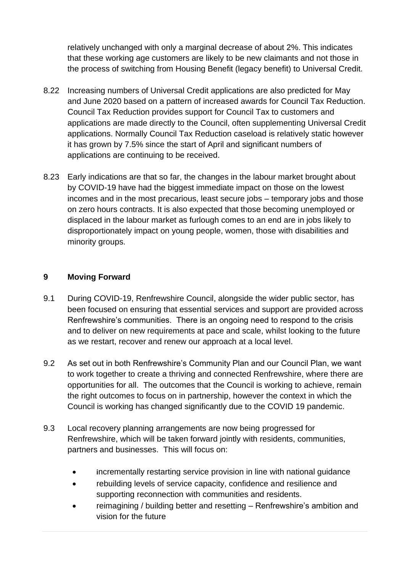relatively unchanged with only a marginal decrease of about 2%. This indicates that these working age customers are likely to be new claimants and not those in the process of switching from Housing Benefit (legacy benefit) to Universal Credit.

- 8.22 Increasing numbers of Universal Credit applications are also predicted for May and June 2020 based on a pattern of increased awards for Council Tax Reduction. Council Tax Reduction provides support for Council Tax to customers and applications are made directly to the Council, often supplementing Universal Credit applications. Normally Council Tax Reduction caseload is relatively static however it has grown by 7.5% since the start of April and significant numbers of applications are continuing to be received.
- 8.23 Early indications are that so far, the changes in the labour market brought about by COVID-19 have had the biggest immediate impact on those on the lowest incomes and in the most precarious, least secure jobs – temporary jobs and those on zero hours contracts. It is also expected that those becoming unemployed or displaced in the labour market as furlough comes to an end are in jobs likely to disproportionately impact on young people, women, those with disabilities and minority groups.

# **9 Moving Forward**

- 9.1 During COVID-19, Renfrewshire Council, alongside the wider public sector, has been focused on ensuring that essential services and support are provided across Renfrewshire's communities. There is an ongoing need to respond to the crisis and to deliver on new requirements at pace and scale, whilst looking to the future as we restart, recover and renew our approach at a local level.
- 9.2 As set out in both Renfrewshire's Community Plan and our Council Plan, we want to work together to create a thriving and connected Renfrewshire, where there are opportunities for all. The outcomes that the Council is working to achieve, remain the right outcomes to focus on in partnership, however the context in which the Council is working has changed significantly due to the COVID 19 pandemic.
- 9.3 Local recovery planning arrangements are now being progressed for Renfrewshire, which will be taken forward jointly with residents, communities, partners and businesses. This will focus on:
	- **i**ncrementally restarting service provision in line with national guidance
	- rebuilding levels of service capacity, confidence and resilience and supporting reconnection with communities and residents.
	- reimagining / building better and resetting Renfrewshire's ambition and vision for the future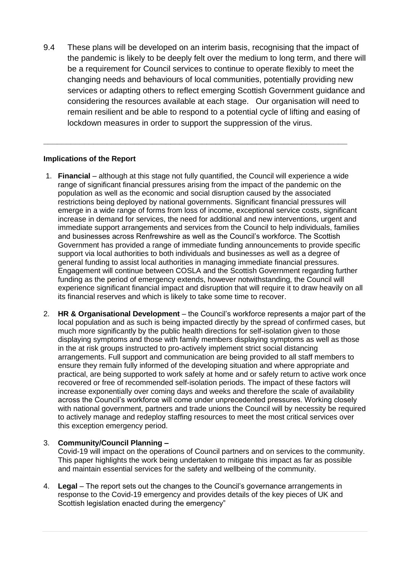9.4 These plans will be developed on an interim basis, recognising that the impact of the pandemic is likely to be deeply felt over the medium to long term, and there will be a requirement for Council services to continue to operate flexibly to meet the changing needs and behaviours of local communities, potentially providing new services or adapting others to reflect emerging Scottish Government guidance and considering the resources available at each stage. Our organisation will need to remain resilient and be able to respond to a potential cycle of lifting and easing of lockdown measures in order to support the suppression of the virus.

**\_\_\_\_\_\_\_\_\_\_\_\_\_\_\_\_\_\_\_\_\_\_\_\_\_\_\_\_\_\_\_\_\_\_\_\_\_\_\_\_\_\_\_\_\_\_\_\_\_\_\_\_\_\_\_\_\_\_\_\_\_\_\_\_\_\_\_**

#### **Implications of the Report**

- 1. **Financial** although at this stage not fully quantified, the Council will experience a wide range of significant financial pressures arising from the impact of the pandemic on the population as well as the economic and social disruption caused by the associated restrictions being deployed by national governments. Significant financial pressures will emerge in a wide range of forms from loss of income, exceptional service costs, significant increase in demand for services, the need for additional and new interventions, urgent and immediate support arrangements and services from the Council to help individuals, families and businesses across Renfrewshire as well as the Council's workforce. The Scottish Government has provided a range of immediate funding announcements to provide specific support via local authorities to both individuals and businesses as well as a degree of general funding to assist local authorities in managing immediate financial pressures. Engagement will continue between COSLA and the Scottish Government regarding further funding as the period of emergency extends, however notwithstanding, the Council will experience significant financial impact and disruption that will require it to draw heavily on all its financial reserves and which is likely to take some time to recover.
- 2. **HR & Organisational Development** the Council's workforce represents a major part of the local population and as such is being impacted directly by the spread of confirmed cases, but much more significantly by the public health directions for self-isolation given to those displaying symptoms and those with family members displaying symptoms as well as those in the at risk groups instructed to pro-actively implement strict social distancing arrangements. Full support and communication are being provided to all staff members to ensure they remain fully informed of the developing situation and where appropriate and practical, are being supported to work safely at home and or safely return to active work once recovered or free of recommended self-isolation periods. The impact of these factors will increase exponentially over coming days and weeks and therefore the scale of availability across the Council's workforce will come under unprecedented pressures. Working closely with national government, partners and trade unions the Council will by necessity be required to actively manage and redeploy staffing resources to meet the most critical services over this exception emergency period.

#### 3. **Community/Council Planning –**

Covid-19 will impact on the operations of Council partners and on services to the community. This paper highlights the work being undertaken to mitigate this impact as far as possible and maintain essential services for the safety and wellbeing of the community.

4. **Legal** – The report sets out the changes to the Council's governance arrangements in response to the Covid-19 emergency and provides details of the key pieces of UK and Scottish legislation enacted during the emergency"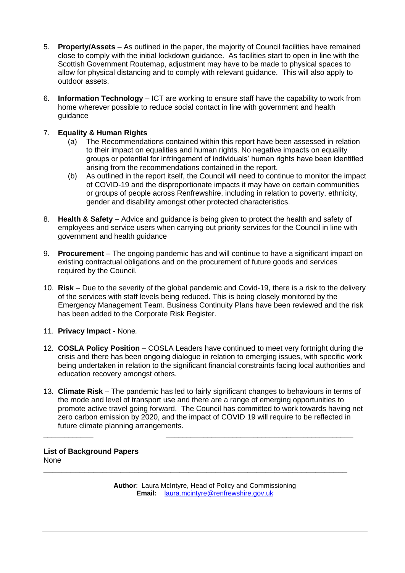- 5. **Property/Assets** As outlined in the paper, the majority of Council facilities have remained close to comply with the initial lockdown guidance. As facilities start to open in line with the Scottish Government Routemap, adjustment may have to be made to physical spaces to allow for physical distancing and to comply with relevant guidance. This will also apply to outdoor assets.
- 6. **Information Technology** ICT are working to ensure staff have the capability to work from home wherever possible to reduce social contact in line with government and health guidance

#### 7. **Equality & Human Rights**

- (a) The Recommendations contained within this report have been assessed in relation to their impact on equalities and human rights. No negative impacts on equality groups or potential for infringement of individuals' human rights have been identified arising from the recommendations contained in the report.
- (b) As outlined in the report itself, the Council will need to continue to monitor the impact of COVID-19 and the disproportionate impacts it may have on certain communities or groups of people across Renfrewshire, including in relation to poverty, ethnicity, gender and disability amongst other protected characteristics.
- 8. **Health & Safety** Advice and guidance is being given to protect the health and safety of employees and service users when carrying out priority services for the Council in line with government and health guidance
- 9. **Procurement** The ongoing pandemic has and will continue to have a significant impact on existing contractual obligations and on the procurement of future goods and services required by the Council.
- 10. **Risk** Due to the severity of the global pandemic and Covid-19, there is a risk to the delivery of the services with staff levels being reduced. This is being closely monitored by the Emergency Management Team. Business Continuity Plans have been reviewed and the risk has been added to the Corporate Risk Register.
- 11. **Privacy Impact** None*.*
- 12*.* **COSLA Policy Position** COSLA Leaders have continued to meet very fortnight during the crisis and there has been ongoing dialogue in relation to emerging issues, with specific work being undertaken in relation to the significant financial constraints facing local authorities and education recovery amongst others.
- 13*.* **Climate Risk** The pandemic has led to fairly significant changes to behaviours in terms of the mode and level of transport use and there are a range of emerging opportunities to promote active travel going forward. The Council has committed to work towards having net zero carbon emission by 2020, and the impact of COVID 19 will require to be reflected in future climate planning arrangements.

\_\_\_\_\_\_\_\_\_\_\_\_ \_\_\_\_\_\_\_\_\_\_\_\_\_\_\_\_\_\_\_\_\_\_\_\_\_\_\_\_\_\_\_\_\_\_\_\_\_\_\_\_\_\_\_\_\_

**List of Background Papers** None **\_\_\_\_\_\_\_\_\_\_\_\_\_\_\_\_\_\_\_\_\_\_\_\_\_\_\_\_\_\_\_\_\_\_\_\_\_\_\_\_\_\_\_\_\_\_\_\_\_\_\_\_\_\_\_\_\_\_\_\_\_\_\_\_\_\_\_**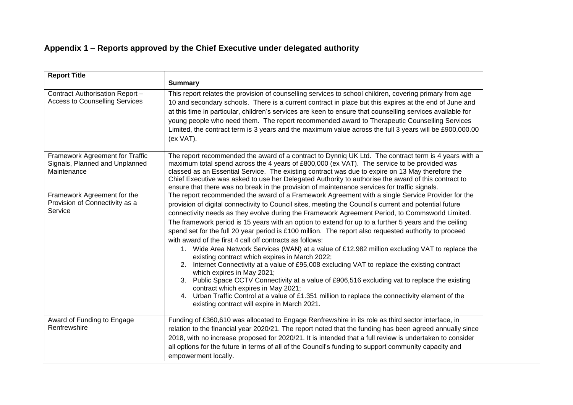# **Appendix 1 – Reports approved by the Chief Executive under delegated authority**

| <b>Report Title</b>                                                              |                                                                                                                                                                                                                                                                                                                                                                                                                                                                                                                                                                                                                                                                                                                                                                                                                                                                                                                                                                                                                                                                                                                                                                             |  |  |  |
|----------------------------------------------------------------------------------|-----------------------------------------------------------------------------------------------------------------------------------------------------------------------------------------------------------------------------------------------------------------------------------------------------------------------------------------------------------------------------------------------------------------------------------------------------------------------------------------------------------------------------------------------------------------------------------------------------------------------------------------------------------------------------------------------------------------------------------------------------------------------------------------------------------------------------------------------------------------------------------------------------------------------------------------------------------------------------------------------------------------------------------------------------------------------------------------------------------------------------------------------------------------------------|--|--|--|
|                                                                                  | <b>Summary</b>                                                                                                                                                                                                                                                                                                                                                                                                                                                                                                                                                                                                                                                                                                                                                                                                                                                                                                                                                                                                                                                                                                                                                              |  |  |  |
| Contract Authorisation Report -<br><b>Access to Counselling Services</b>         | This report relates the provision of counselling services to school children, covering primary from age<br>10 and secondary schools. There is a current contract in place but this expires at the end of June and<br>at this time in particular, children's services are keen to ensure that counselling services available for<br>young people who need them. The report recommended award to Therapeutic Counselling Services<br>Limited, the contract term is 3 years and the maximum value across the full 3 years will be £900,000.00<br>(ex VAT).                                                                                                                                                                                                                                                                                                                                                                                                                                                                                                                                                                                                                     |  |  |  |
| Framework Agreement for Traffic<br>Signals, Planned and Unplanned<br>Maintenance | The report recommended the award of a contract to Dynniq UK Ltd. The contract term is 4 years with a<br>maximum total spend across the 4 years of £800,000 (ex VAT). The service to be provided was<br>classed as an Essential Service. The existing contract was due to expire on 13 May therefore the<br>Chief Executive was asked to use her Delegated Authority to authorise the award of this contract to<br>ensure that there was no break in the provision of maintenance services for traffic signals.                                                                                                                                                                                                                                                                                                                                                                                                                                                                                                                                                                                                                                                              |  |  |  |
| Framework Agreement for the<br>Provision of Connectivity as a<br>Service         | The report recommended the award of a Framework Agreement with a single Service Provider for the<br>provision of digital connectivity to Council sites, meeting the Council's current and potential future<br>connectivity needs as they evolve during the Framework Agreement Period, to Commsworld Limited.<br>The framework period is 15 years with an option to extend for up to a further 5 years and the ceiling<br>spend set for the full 20 year period is £100 million. The report also requested authority to proceed<br>with award of the first 4 call off contracts as follows:<br>1. Wide Area Network Services (WAN) at a value of £12.982 million excluding VAT to replace the<br>existing contract which expires in March 2022;<br>2. Internet Connectivity at a value of £95,008 excluding VAT to replace the existing contract<br>which expires in May 2021;<br>3. Public Space CCTV Connectivity at a value of £906,516 excluding vat to replace the existing<br>contract which expires in May 2021;<br>4. Urban Traffic Control at a value of £1.351 million to replace the connectivity element of the<br>existing contract will expire in March 2021. |  |  |  |
| Award of Funding to Engage<br>Renfrewshire                                       | Funding of £360,610 was allocated to Engage Renfrewshire in its role as third sector interface, in<br>relation to the financial year 2020/21. The report noted that the funding has been agreed annually since<br>2018, with no increase proposed for 2020/21. It is intended that a full review is undertaken to consider<br>all options for the future in terms of all of the Council's funding to support community capacity and<br>empowerment locally.                                                                                                                                                                                                                                                                                                                                                                                                                                                                                                                                                                                                                                                                                                                 |  |  |  |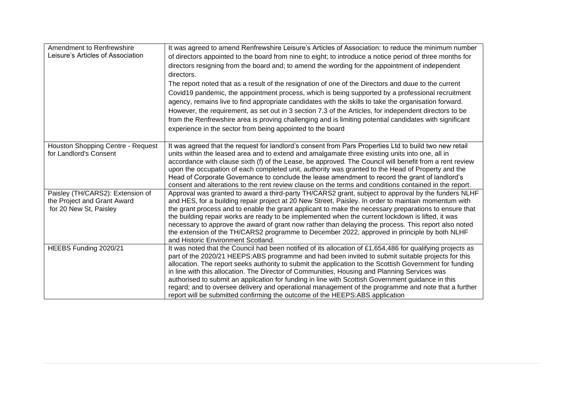| Amendment to Renfrewshire<br>Leisure's Articles of Association                            | It was agreed to amend Renfrewshire Leisure's Articles of Association: to reduce the minimum number<br>of directors appointed to the board from nine to eight; to introduce a notice period of three months for<br>directors resigning from the board and; to amend the wording for the appointment of independent<br>directors.<br>The report noted that as a result of the resignation of one of the Directors and duue to the current<br>Covid19 pandemic, the appointment process, which is being supported by a professional recruitment<br>agency, remains live to find appropriate candidates with the skills to take the organisation forward.<br>However, the requirement, as set out in 3 section 7.3 of the Articles, for independent directors to be<br>from the Renfrewshire area is proving challenging and is limiting potential candidates with significant<br>experience in the sector from being appointed to the board |
|-------------------------------------------------------------------------------------------|-------------------------------------------------------------------------------------------------------------------------------------------------------------------------------------------------------------------------------------------------------------------------------------------------------------------------------------------------------------------------------------------------------------------------------------------------------------------------------------------------------------------------------------------------------------------------------------------------------------------------------------------------------------------------------------------------------------------------------------------------------------------------------------------------------------------------------------------------------------------------------------------------------------------------------------------|
| Houston Shopping Centre - Request<br>for Landlord's Consent                               | It was agreed that the request for landlord's consent from Pars Properties Ltd to build two new retail<br>units within the leased area and to extend and amalgamate three existing units into one, all in<br>accordance with clause sixth (f) of the Lease, be approved. The Council will benefit from a rent review<br>upon the occupation of each completed unit, authority was granted to the Head of Property and the<br>Head of Corporate Governance to conclude the lease amendment to record the grant of landlord's<br>consent and alterations to the rent review clause on the terms and conditions contained in the report.                                                                                                                                                                                                                                                                                                     |
| Paisley (TH/CARS2): Extension of<br>the Project and Grant Award<br>for 20 New St, Paisley | Approval was granted to award a third-party TH/CARS2 grant, subject to approval by the funders NLHF<br>and HES, for a building repair project at 20 New Street, Paisley. In order to maintain momentum with<br>the grant process and to enable the grant applicant to make the necessary preparations to ensure that<br>the building repair works are ready to be implemented when the current lockdown is lifted, it was<br>necessary to approve the award of grant now rather than delaying the process. This report also noted<br>the extension of the TH/CARS2 programme to December 2022, approved in principle by both NLHF<br>and Historic Environment Scotland.                                                                                                                                                                                                                                                                   |
| HEEBS Funding 2020/21                                                                     | It was noted that the Council had been notified of its allocation of £1,654,486 for qualifying projects as<br>part of the 2020/21 HEEPS:ABS programme and had been invited to submit suitable projects for this<br>allocation. The report seeks authority to submit the application to the Scottish Government for funding<br>in line with this allocation. The Director of Communities, Housing and Planning Services was<br>authorised to submit an application for funding in line with Scottish Government guidance in this<br>regard; and to oversee delivery and operational management of the programme and note that a further<br>report will be submitted confirming the outcome of the HEEPS:ABS application                                                                                                                                                                                                                    |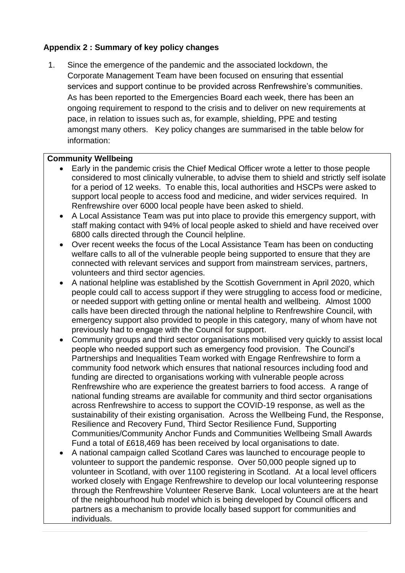# **Appendix 2 : Summary of key policy changes**

1. Since the emergence of the pandemic and the associated lockdown, the Corporate Management Team have been focused on ensuring that essential services and support continue to be provided across Renfrewshire's communities. As has been reported to the Emergencies Board each week, there has been an ongoing requirement to respond to the crisis and to deliver on new requirements at pace, in relation to issues such as, for example, shielding, PPE and testing amongst many others. Key policy changes are summarised in the table below for information:

#### **Community Wellbeing**

- Early in the pandemic crisis the Chief Medical Officer wrote a letter to those people considered to most clinically vulnerable, to advise them to shield and strictly self isolate for a period of 12 weeks. To enable this, local authorities and HSCPs were asked to support local people to access food and medicine, and wider services required. In Renfrewshire over 6000 local people have been asked to shield.
- A Local Assistance Team was put into place to provide this emergency support, with staff making contact with 94% of local people asked to shield and have received over 6800 calls directed through the Council helpline.
- Over recent weeks the focus of the Local Assistance Team has been on conducting welfare calls to all of the vulnerable people being supported to ensure that they are connected with relevant services and support from mainstream services, partners, volunteers and third sector agencies.
- A national helpline was established by the Scottish Government in April 2020, which people could call to access support if they were struggling to access food or medicine, or needed support with getting online or mental health and wellbeing. Almost 1000 calls have been directed through the national helpline to Renfrewshire Council, with emergency support also provided to people in this category, many of whom have not previously had to engage with the Council for support.
- Community groups and third sector organisations mobilised very quickly to assist local people who needed support such as emergency food provision. The Council's Partnerships and Inequalities Team worked with Engage Renfrewshire to form a community food network which ensures that national resources including food and funding are directed to organisations working with vulnerable people across Renfrewshire who are experience the greatest barriers to food access. A range of national funding streams are available for community and third sector organisations across Renfrewshire to access to support the COVID-19 response, as well as the sustainability of their existing organisation. Across the Wellbeing Fund, the Response, Resilience and Recovery Fund, Third Sector Resilience Fund, Supporting Communities/Community Anchor Funds and Communities Wellbeing Small Awards Fund a total of £618,469 has been received by local organisations to date.
- A national campaign called Scotland Cares was launched to encourage people to volunteer to support the pandemic response. Over 50,000 people signed up to volunteer in Scotland, with over 1100 registering in Scotland. At a local level officers worked closely with Engage Renfrewshire to develop our local volunteering response through the Renfrewshire Volunteer Reserve Bank. Local volunteers are at the heart of the neighbourhood hub model which is being developed by Council officers and partners as a mechanism to provide locally based support for communities and individuals.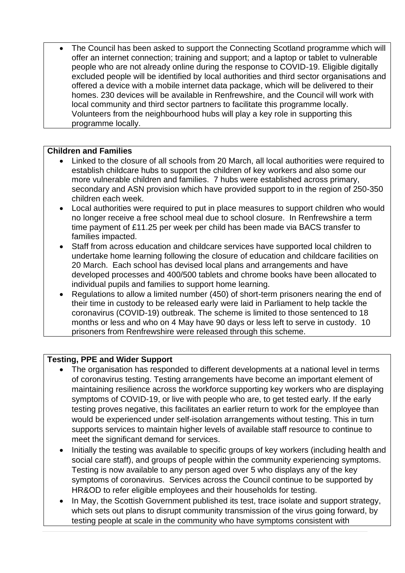The Council has been asked to support the Connecting Scotland programme which will offer an internet connection; training and support; and a laptop or tablet to vulnerable people who are not already online during the response to COVID-19. Eligible digitally excluded people will be identified by local authorities and third sector organisations and offered a device with a mobile internet data package, which will be delivered to their homes. 230 devices will be available in Renfrewshire, and the Council will work with local community and third sector partners to facilitate this programme locally. Volunteers from the neighbourhood hubs will play a key role in supporting this programme locally.

# **Children and Families**

- Linked to the closure of all schools from 20 March, all local authorities were required to establish childcare hubs to support the children of key workers and also some our more vulnerable children and families. 7 hubs were established across primary, secondary and ASN provision which have provided support to in the region of 250-350 children each week.
- Local authorities were required to put in place measures to support children who would no longer receive a free school meal due to school closure. In Renfrewshire a term time payment of £11.25 per week per child has been made via BACS transfer to families impacted.
- Staff from across education and childcare services have supported local children to undertake home learning following the closure of education and childcare facilities on 20 March. Each school has devised local plans and arrangements and have developed processes and 400/500 tablets and chrome books have been allocated to individual pupils and families to support home learning.
- Regulations to allow a limited number (450) of short-term prisoners nearing the end of their time in custody to be released early were laid in Parliament to help tackle the coronavirus (COVID-19) outbreak. The scheme is limited to those sentenced to 18 months or less and who on 4 May have 90 days or less left to serve in custody. 10 prisoners from Renfrewshire were released through this scheme.

# **Testing, PPE and Wider Support**

- The organisation has responded to different developments at a national level in terms of coronavirus testing. Testing arrangements have become an important element of maintaining resilience across the workforce supporting key workers who are displaying symptoms of COVID-19, or live with people who are, to get tested early. If the early testing proves negative, this facilitates an earlier return to work for the employee than would be experienced under self-isolation arrangements without testing. This in turn supports services to maintain higher levels of available staff resource to continue to meet the significant demand for services.
- Initially the testing was available to specific groups of key workers (including health and social care staff), and groups of people within the community experiencing symptoms. Testing is now available to any person aged over 5 who displays any of the key symptoms of coronavirus. Services across the Council continue to be supported by HR&OD to refer eligible employees and their households for testing.
- In May, the Scottish Government published its test, trace isolate and support strategy, which sets out plans to disrupt community transmission of the virus going forward, by testing people at scale in the community who have symptoms consistent with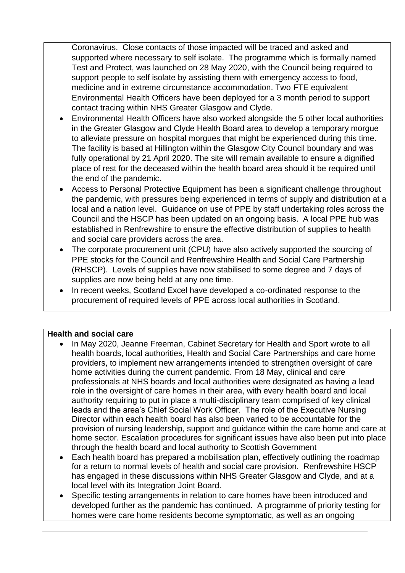Coronavirus. Close contacts of those impacted will be traced and asked and supported where necessary to self isolate. The programme which is formally named Test and Protect, was launched on 28 May 2020, with the Council being required to support people to self isolate by assisting them with emergency access to food, medicine and in extreme circumstance accommodation. Two FTE equivalent Environmental Health Officers have been deployed for a 3 month period to support contact tracing within NHS Greater Glasgow and Clyde.

- Environmental Health Officers have also worked alongside the 5 other local authorities in the Greater Glasgow and Clyde Health Board area to develop a temporary morgue to alleviate pressure on hospital morgues that might be experienced during this time. The facility is based at Hillington within the Glasgow City Council boundary and was fully operational by 21 April 2020. The site will remain available to ensure a dignified place of rest for the deceased within the health board area should it be required until the end of the pandemic.
- Access to Personal Protective Equipment has been a significant challenge throughout the pandemic, with pressures being experienced in terms of supply and distribution at a local and a nation level. Guidance on use of PPE by staff undertaking roles across the Council and the HSCP has been updated on an ongoing basis. A local PPE hub was established in Renfrewshire to ensure the effective distribution of supplies to health and social care providers across the area.
- The corporate procurement unit (CPU) have also actively supported the sourcing of PPE stocks for the Council and Renfrewshire Health and Social Care Partnership (RHSCP). Levels of supplies have now stabilised to some degree and 7 days of supplies are now being held at any one time.
- In recent weeks, Scotland Excel have developed a co-ordinated response to the procurement of required levels of PPE across local authorities in Scotland.

#### **Health and social care**

- In May 2020, Jeanne Freeman, Cabinet Secretary for Health and Sport wrote to all health boards, local authorities, Health and Social Care Partnerships and care home providers, to implement new arrangements intended to strengthen oversight of care home activities during the current pandemic. From 18 May, clinical and care professionals at NHS boards and local authorities were designated as having a lead role in the oversight of care homes in their area, with every health board and local authority requiring to put in place a multi-disciplinary team comprised of key clinical leads and the area's Chief Social Work Officer. The role of the Executive Nursing Director within each health board has also been varied to be accountable for the provision of nursing leadership, support and guidance within the care home and care at home sector. Escalation procedures for significant issues have also been put into place through the health board and local authority to Scottish Government
- Each health board has prepared a mobilisation plan, effectively outlining the roadmap for a return to normal levels of health and social care provision. Renfrewshire HSCP has engaged in these discussions within NHS Greater Glasgow and Clyde, and at a local level with its Integration Joint Board.
- Specific testing arrangements in relation to care homes have been introduced and developed further as the pandemic has continued. A programme of priority testing for homes were care home residents become symptomatic, as well as an ongoing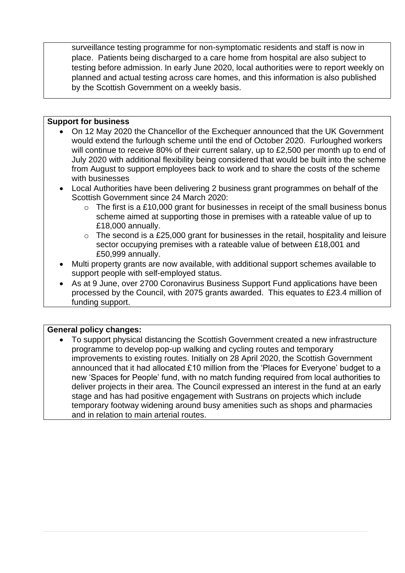surveillance testing programme for non-symptomatic residents and staff is now in place. Patients being discharged to a care home from hospital are also subject to testing before admission. In early June 2020, local authorities were to report weekly on planned and actual testing across care homes, and this information is also published by the Scottish Government on a weekly basis.

#### **Support for business**

- On 12 May 2020 the Chancellor of the Exchequer announced that the UK Government would extend the furlough scheme until the end of October 2020. Furloughed workers will continue to receive 80% of their current salary, up to £2,500 per month up to end of July 2020 with additional flexibility being considered that would be built into the scheme from August to support employees back to work and to share the costs of the scheme with businesses
- Local Authorities have been delivering 2 business grant programmes on behalf of the Scottish Government since 24 March 2020:
	- $\circ$  The first is a £10,000 grant for businesses in receipt of the small business bonus scheme aimed at supporting those in premises with a rateable value of up to £18,000 annually.
	- $\circ$  The second is a £25,000 grant for businesses in the retail, hospitality and leisure sector occupying premises with a rateable value of between £18,001 and £50,999 annually.
- Multi property grants are now available, with additional support schemes available to support people with self-employed status.
- As at 9 June, over 2700 Coronavirus Business Support Fund applications have been processed by the Council, with 2075 grants awarded. This equates to £23.4 million of funding support.

#### **General policy changes:**

• To support physical distancing the Scottish Government created a new infrastructure programme to develop pop-up walking and cycling routes and temporary improvements to existing routes. Initially on 28 April 2020, the Scottish Government announced that it had allocated £10 million from the 'Places for Everyone' budget to a new 'Spaces for People' fund, with no match funding required from local authorities to deliver projects in their area. The Council expressed an interest in the fund at an early stage and has had positive engagement with Sustrans on projects which include temporary footway widening around busy amenities such as shops and pharmacies and in relation to main arterial routes.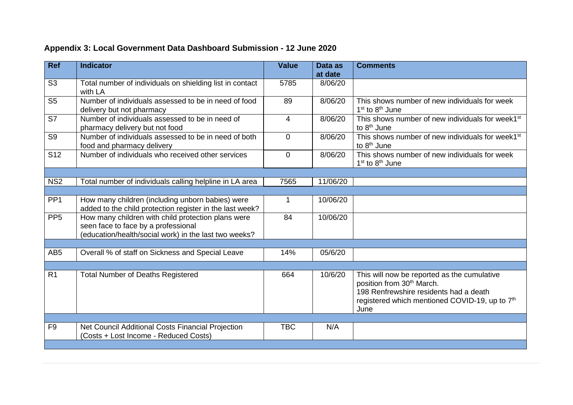| Ref             | <b>Indicator</b>                                                                                                                                   | <b>Value</b>   | Data as<br>at date | <b>Comments</b>                                                                                                                                                                                      |
|-----------------|----------------------------------------------------------------------------------------------------------------------------------------------------|----------------|--------------------|------------------------------------------------------------------------------------------------------------------------------------------------------------------------------------------------------|
| S <sub>3</sub>  | Total number of individuals on shielding list in contact<br>with LA                                                                                | 5785           | 8/06/20            |                                                                                                                                                                                                      |
| S <sub>5</sub>  | Number of individuals assessed to be in need of food<br>delivery but not pharmacy                                                                  | 89             | 8/06/20            | This shows number of new individuals for week<br>$1st$ to $8th$ June                                                                                                                                 |
| S7              | Number of individuals assessed to be in need of<br>pharmacy delivery but not food                                                                  | $\overline{4}$ | 8/06/20            | This shows number of new individuals for week1 <sup>st</sup><br>to 8 <sup>th</sup> June                                                                                                              |
| S <sub>9</sub>  | Number of individuals assessed to be in need of both<br>food and pharmacy delivery                                                                 | $\mathbf 0$    | 8/06/20            | This shows number of new individuals for week1 <sup>st</sup><br>to 8 <sup>th</sup> June                                                                                                              |
| S <sub>12</sub> | Number of individuals who received other services                                                                                                  | $\Omega$       | 8/06/20            | This shows number of new individuals for week<br>1 <sup>st</sup> to 8 <sup>th</sup> June                                                                                                             |
|                 |                                                                                                                                                    |                |                    |                                                                                                                                                                                                      |
| NS <sub>2</sub> | Total number of individuals calling helpline in LA area                                                                                            | 7565           | 11/06/20           |                                                                                                                                                                                                      |
|                 |                                                                                                                                                    |                |                    |                                                                                                                                                                                                      |
| PP <sub>1</sub> | How many children (including unborn babies) were<br>added to the child protection register in the last week?                                       | $\mathbf 1$    | 10/06/20           |                                                                                                                                                                                                      |
| PP <sub>5</sub> | How many children with child protection plans were<br>seen face to face by a professional<br>(education/health/social work) in the last two weeks? | 84             | 10/06/20           |                                                                                                                                                                                                      |
|                 |                                                                                                                                                    |                |                    |                                                                                                                                                                                                      |
| AB <sub>5</sub> | Overall % of staff on Sickness and Special Leave                                                                                                   | 14%            | 05/6/20            |                                                                                                                                                                                                      |
|                 |                                                                                                                                                    |                |                    |                                                                                                                                                                                                      |
| R <sub>1</sub>  | <b>Total Number of Deaths Registered</b>                                                                                                           | 664            | 10/6/20            | This will now be reported as the cumulative<br>position from 30 <sup>th</sup> March.<br>198 Renfrewshire residents had a death<br>registered which mentioned COVID-19, up to 7 <sup>th</sup><br>June |
|                 |                                                                                                                                                    |                |                    |                                                                                                                                                                                                      |
| F <sub>9</sub>  | Net Council Additional Costs Financial Projection<br>(Costs + Lost Income - Reduced Costs)                                                         | <b>TBC</b>     | N/A                |                                                                                                                                                                                                      |
|                 |                                                                                                                                                    |                |                    |                                                                                                                                                                                                      |

# **Appendix 3: Local Government Data Dashboard Submission - 12 June 2020**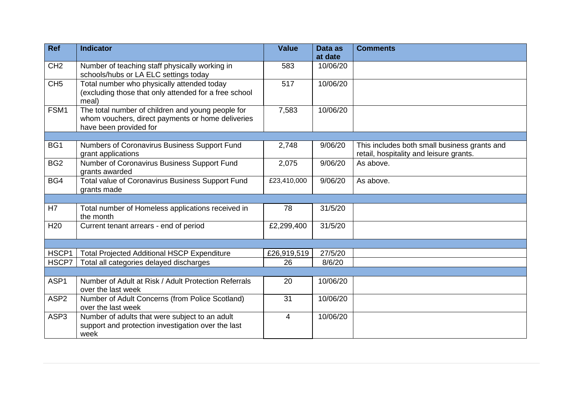| <b>Ref</b>       | <b>Indicator</b>                                                                                                                 | <b>Value</b>   | Data as<br>at date | <b>Comments</b>                                                                         |
|------------------|----------------------------------------------------------------------------------------------------------------------------------|----------------|--------------------|-----------------------------------------------------------------------------------------|
| CH <sub>2</sub>  | Number of teaching staff physically working in<br>schools/hubs or LA ELC settings today                                          | 583            | 10/06/20           |                                                                                         |
| CH <sub>5</sub>  | Total number who physically attended today<br>(excluding those that only attended for a free school<br>meal)                     | 517            | 10/06/20           |                                                                                         |
| FSM1             | The total number of children and young people for<br>whom vouchers, direct payments or home deliveries<br>have been provided for | 7,583          | 10/06/20           |                                                                                         |
|                  |                                                                                                                                  |                |                    |                                                                                         |
| BG1              | Numbers of Coronavirus Business Support Fund<br>grant applications                                                               | 2,748          | 9/06/20            | This includes both small business grants and<br>retail, hospitality and leisure grants. |
| BG <sub>2</sub>  | Number of Coronavirus Business Support Fund<br>grants awarded                                                                    | 2,075          | 9/06/20            | As above.                                                                               |
| BG4              | Total value of Coronavirus Business Support Fund<br>grants made                                                                  | £23,410,000    | 9/06/20            | As above.                                                                               |
|                  |                                                                                                                                  |                |                    |                                                                                         |
| H7               | Total number of Homeless applications received in<br>the month                                                                   | 78             | 31/5/20            |                                                                                         |
| H <sub>20</sub>  | Current tenant arrears - end of period                                                                                           | £2,299,400     | 31/5/20            |                                                                                         |
|                  |                                                                                                                                  |                |                    |                                                                                         |
| HSCP1            | <b>Total Projected Additional HSCP Expenditure</b>                                                                               | £26,919,519    | 27/5/20            |                                                                                         |
| HSCP7            | Total all categories delayed discharges                                                                                          | 26             | 8/6/20             |                                                                                         |
|                  |                                                                                                                                  |                |                    |                                                                                         |
| ASP1             | Number of Adult at Risk / Adult Protection Referrals<br>over the last week                                                       | 20             | 10/06/20           |                                                                                         |
| ASP <sub>2</sub> | Number of Adult Concerns (from Police Scotland)<br>over the last week                                                            | 31             | 10/06/20           |                                                                                         |
| ASP3             | Number of adults that were subject to an adult<br>support and protection investigation over the last<br>week                     | $\overline{4}$ | 10/06/20           |                                                                                         |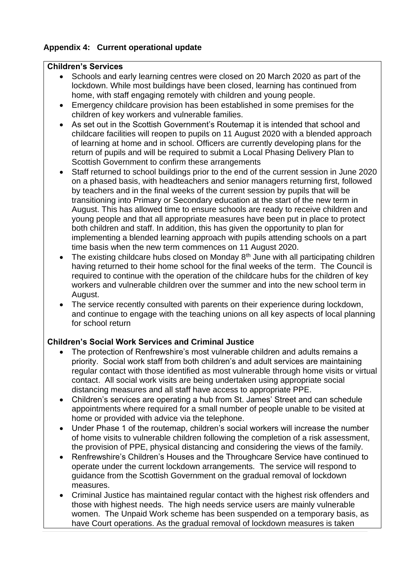# **Appendix 4: Current operational update**

#### **Children's Services**

- Schools and early learning centres were closed on 20 March 2020 as part of the lockdown. While most buildings have been closed, learning has continued from home, with staff engaging remotely with children and young people.
- Emergency childcare provision has been established in some premises for the children of key workers and vulnerable families.
- As set out in the Scottish Government's Routemap it is intended that school and childcare facilities will reopen to pupils on 11 August 2020 with a blended approach of learning at home and in school. Officers are currently developing plans for the return of pupils and will be required to submit a Local Phasing Delivery Plan to Scottish Government to confirm these arrangements
- Staff returned to school buildings prior to the end of the current session in June 2020 on a phased basis, with headteachers and senior managers returning first, followed by teachers and in the final weeks of the current session by pupils that will be transitioning into Primary or Secondary education at the start of the new term in August. This has allowed time to ensure schools are ready to receive children and young people and that all appropriate measures have been put in place to protect both children and staff. In addition, this has given the opportunity to plan for implementing a blended learning approach with pupils attending schools on a part time basis when the new term commences on 11 August 2020.
- The existing childcare hubs closed on Monday 8<sup>th</sup> June with all participating children having returned to their home school for the final weeks of the term. The Council is required to continue with the operation of the childcare hubs for the children of key workers and vulnerable children over the summer and into the new school term in August.
- The service recently consulted with parents on their experience during lockdown, and continue to engage with the teaching unions on all key aspects of local planning for school return

# **Children's Social Work Services and Criminal Justice**

- The protection of Renfrewshire's most vulnerable children and adults remains a priority. Social work staff from both children's and adult services are maintaining regular contact with those identified as most vulnerable through home visits or virtual contact. All social work visits are being undertaken using appropriate social distancing measures and all staff have access to appropriate PPE.
- Children's services are operating a hub from St. James' Street and can schedule appointments where required for a small number of people unable to be visited at home or provided with advice via the telephone.
- Under Phase 1 of the routemap, children's social workers will increase the number of home visits to vulnerable children following the completion of a risk assessment, the provision of PPE, physical distancing and considering the views of the family.
- Renfrewshire's Children's Houses and the Throughcare Service have continued to operate under the current lockdown arrangements. The service will respond to guidance from the Scottish Government on the gradual removal of lockdown measures.
- Criminal Justice has maintained regular contact with the highest risk offenders and those with highest needs. The high needs service users are mainly vulnerable women. The Unpaid Work scheme has been suspended on a temporary basis, as have Court operations. As the gradual removal of lockdown measures is taken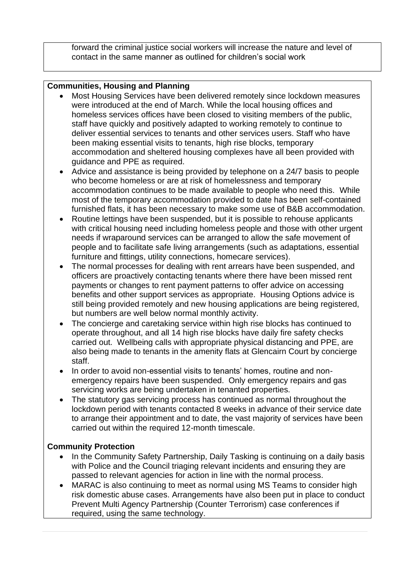forward the criminal justice social workers will increase the nature and level of contact in the same manner as outlined for children's social work

### **Communities, Housing and Planning**

- Most Housing Services have been delivered remotely since lockdown measures were introduced at the end of March. While the local housing offices and homeless services offices have been closed to visiting members of the public, staff have quickly and positively adapted to working remotely to continue to deliver essential services to tenants and other services users. Staff who have been making essential visits to tenants, high rise blocks, temporary accommodation and sheltered housing complexes have all been provided with guidance and PPE as required.
- Advice and assistance is being provided by telephone on a 24/7 basis to people who become homeless or are at risk of homelessness and temporary accommodation continues to be made available to people who need this. While most of the temporary accommodation provided to date has been self-contained furnished flats, it has been necessary to make some use of B&B accommodation.
- Routine lettings have been suspended, but it is possible to rehouse applicants with critical housing need including homeless people and those with other urgent needs if wraparound services can be arranged to allow the safe movement of people and to facilitate safe living arrangements (such as adaptations, essential furniture and fittings, utility connections, homecare services).
- The normal processes for dealing with rent arrears have been suspended, and officers are proactively contacting tenants where there have been missed rent payments or changes to rent payment patterns to offer advice on accessing benefits and other support services as appropriate. Housing Options advice is still being provided remotely and new housing applications are being registered, but numbers are well below normal monthly activity.
- The concierge and caretaking service within high rise blocks has continued to operate throughout, and all 14 high rise blocks have daily fire safety checks carried out. Wellbeing calls with appropriate physical distancing and PPE, are also being made to tenants in the amenity flats at Glencairn Court by concierge staff.
- In order to avoid non-essential visits to tenants' homes, routine and nonemergency repairs have been suspended. Only emergency repairs and gas servicing works are being undertaken in tenanted properties.
- The statutory gas servicing process has continued as normal throughout the lockdown period with tenants contacted 8 weeks in advance of their service date to arrange their appointment and to date, the vast majority of services have been carried out within the required 12-month timescale.

# **Community Protection**

- In the Community Safety Partnership, Daily Tasking is continuing on a daily basis with Police and the Council triaging relevant incidents and ensuring they are passed to relevant agencies for action in line with the normal process.
- MARAC is also continuing to meet as normal using MS Teams to consider high risk domestic abuse cases. Arrangements have also been put in place to conduct Prevent Multi Agency Partnership (Counter Terrorism) case conferences if required, using the same technology.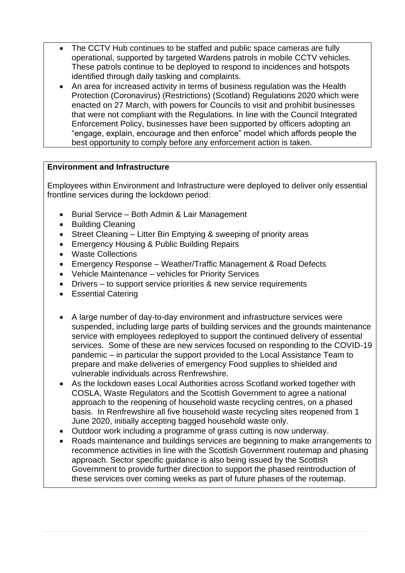- The CCTV Hub continues to be staffed and public space cameras are fully operational, supported by targeted Wardens patrols in mobile CCTV vehicles. These patrols continue to be deployed to respond to incidences and hotspots identified through daily tasking and complaints.
- An area for increased activity in terms of business regulation was the Health Protection (Coronavirus) (Restrictions) (Scotland) Regulations 2020 which were enacted on 27 March, with powers for Councils to visit and prohibit businesses that were not compliant with the Regulations. In line with the Council Integrated Enforcement Policy, businesses have been supported by officers adopting an "engage, explain, encourage and then enforce" model which affords people the best opportunity to comply before any enforcement action is taken.

# **Environment and Infrastructure**

Employees within Environment and Infrastructure were deployed to deliver only essential frontline services during the lockdown period:

- Burial Service Both Admin & Lair Management
- Building Cleaning
- Street Cleaning Litter Bin Emptying & sweeping of priority areas
- Emergency Housing & Public Building Repairs
- Waste Collections
- Emergency Response Weather/Traffic Management & Road Defects
- Vehicle Maintenance vehicles for Priority Services
- Drivers to support service priorities & new service requirements
- Essential Catering
- A large number of day-to-day environment and infrastructure services were suspended, including large parts of building services and the grounds maintenance service with employees redeployed to support the continued delivery of essential services. Some of these are new services focused on responding to the COVID-19 pandemic – in particular the support provided to the Local Assistance Team to prepare and make deliveries of emergency Food supplies to shielded and vulnerable individuals across Renfrewshire.
- As the lockdown eases Local Authorities across Scotland worked together with COSLA, Waste Regulators and the Scottish Government to agree a national approach to the reopening of household waste recycling centres, on a phased basis. In Renfrewshire all five household waste recycling sites reopened from 1 June 2020, initially accepting bagged household waste only.
- Outdoor work including a programme of grass cutting is now underway.
- Roads maintenance and buildings services are beginning to make arrangements to recommence activities in line with the Scottish Government routemap and phasing approach. Sector specific guidance is also being issued by the Scottish Government to provide further direction to support the phased reintroduction of these services over coming weeks as part of future phases of the routemap.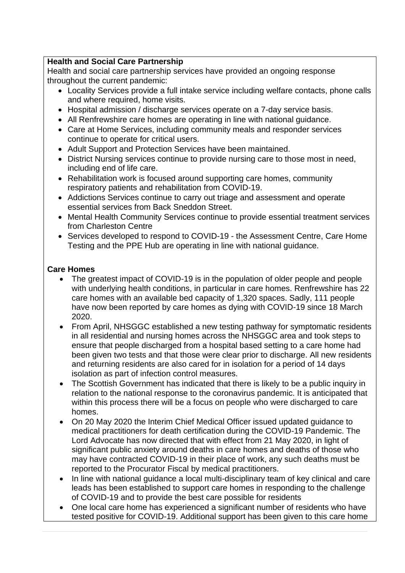# **Health and Social Care Partnership**

Health and social care partnership services have provided an ongoing response throughout the current pandemic:

- Locality Services provide a full intake service including welfare contacts, phone calls and where required, home visits.
- Hospital admission / discharge services operate on a 7-day service basis.
- All Renfrewshire care homes are operating in line with national guidance.
- Care at Home Services, including community meals and responder services continue to operate for critical users.
- Adult Support and Protection Services have been maintained.
- District Nursing services continue to provide nursing care to those most in need, including end of life care.
- Rehabilitation work is focused around supporting care homes, community respiratory patients and rehabilitation from COVID-19.
- Addictions Services continue to carry out triage and assessment and operate essential services from Back Sneddon Street.
- Mental Health Community Services continue to provide essential treatment services from Charleston Centre
- Services developed to respond to COVID-19 the Assessment Centre, Care Home Testing and the PPE Hub are operating in line with national guidance.

# **Care Homes**

- The greatest impact of COVID-19 is in the population of older people and people with underlying health conditions, in particular in care homes. Renfrewshire has 22 care homes with an available bed capacity of 1,320 spaces. Sadly, 111 people have now been reported by care homes as dying with COVID-19 since 18 March 2020.
- From April, NHSGGC established a new testing pathway for symptomatic residents in all residential and nursing homes across the NHSGGC area and took steps to ensure that people discharged from a hospital based setting to a care home had been given two tests and that those were clear prior to discharge. All new residents and returning residents are also cared for in isolation for a period of 14 days isolation as part of infection control measures.
- The Scottish Government has indicated that there is likely to be a public inquiry in relation to the national response to the coronavirus pandemic. It is anticipated that within this process there will be a focus on people who were discharged to care homes.
- On 20 May 2020 the Interim Chief Medical Officer issued updated guidance to medical practitioners for death certification during the COVID-19 Pandemic. The Lord Advocate has now directed that with effect from 21 May 2020, in light of significant public anxiety around deaths in care homes and deaths of those who may have contracted COVID-19 in their place of work, any such deaths must be reported to the Procurator Fiscal by medical practitioners.
- In line with national quidance a local multi-disciplinary team of key clinical and care leads has been established to support care homes in responding to the challenge of COVID-19 and to provide the best care possible for residents
- One local care home has experienced a significant number of residents who have tested positive for COVID-19. Additional support has been given to this care home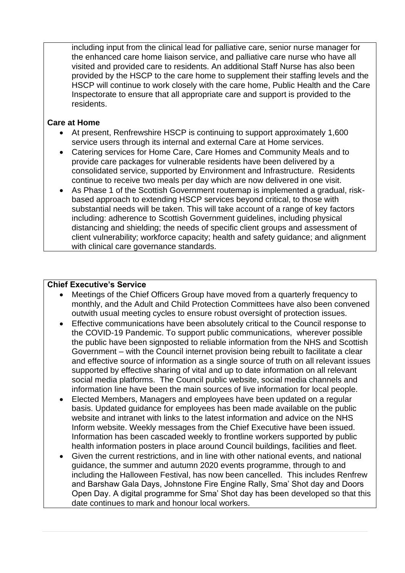including input from the clinical lead for palliative care, senior nurse manager for the enhanced care home liaison service, and palliative care nurse who have all visited and provided care to residents. An additional Staff Nurse has also been provided by the HSCP to the care home to supplement their staffing levels and the HSCP will continue to work closely with the care home, Public Health and the Care Inspectorate to ensure that all appropriate care and support is provided to the residents.

#### **Care at Home**

- At present, Renfrewshire HSCP is continuing to support approximately 1,600 service users through its internal and external Care at Home services.
- Catering services for Home Care, Care Homes and Community Meals and to provide care packages for vulnerable residents have been delivered by a consolidated service, supported by Environment and Infrastructure. Residents continue to receive two meals per day which are now delivered in one visit.
- As Phase 1 of the Scottish Government routemap is implemented a gradual, riskbased approach to extending HSCP services beyond critical, to those with substantial needs will be taken. This will take account of a range of key factors including: adherence to Scottish Government guidelines, including physical distancing and shielding; the needs of specific client groups and assessment of client vulnerability; workforce capacity; health and safety guidance; and alignment with clinical care governance standards.

### **Chief Executive's Service**

- Meetings of the Chief Officers Group have moved from a quarterly frequency to monthly, and the Adult and Child Protection Committees have also been convened outwith usual meeting cycles to ensure robust oversight of protection issues.
- Effective communications have been absolutely critical to the Council response to the COVID-19 Pandemic. To support public communications, wherever possible the public have been signposted to reliable information from the NHS and Scottish Government – with the Council internet provision being rebuilt to facilitate a clear and effective source of information as a single source of truth on all relevant issues supported by effective sharing of vital and up to date information on all relevant social media platforms. The Council public website, social media channels and information line have been the main sources of live information for local people.
- Elected Members, Managers and employees have been updated on a regular basis. Updated guidance for employees has been made available on the public website and intranet with links to the latest information and advice on the NHS Inform website. Weekly messages from the Chief Executive have been issued. Information has been cascaded weekly to frontline workers supported by public health information posters in place around Council buildings, facilities and fleet.
- Given the current restrictions, and in line with other national events, and national guidance, the summer and autumn 2020 events programme, through to and including the Halloween Festival, has now been cancelled. This includes Renfrew and Barshaw Gala Days, Johnstone Fire Engine Rally, Sma' Shot day and Doors Open Day. A digital programme for Sma' Shot day has been developed so that this date continues to mark and honour local workers.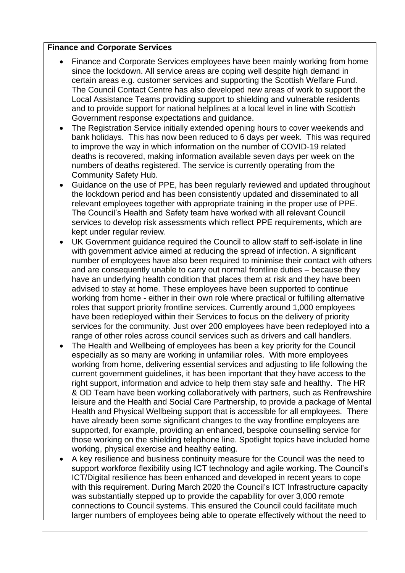### **Finance and Corporate Services**

- Finance and Corporate Services employees have been mainly working from home since the lockdown. All service areas are coping well despite high demand in certain areas e.g. customer services and supporting the Scottish Welfare Fund. The Council Contact Centre has also developed new areas of work to support the Local Assistance Teams providing support to shielding and vulnerable residents and to provide support for national helplines at a local level in line with Scottish Government response expectations and guidance.
- The Registration Service initially extended opening hours to cover weekends and bank holidays. This has now been reduced to 6 days per week. This was required to improve the way in which information on the number of COVID-19 related deaths is recovered, making information available seven days per week on the numbers of deaths registered. The service is currently operating from the Community Safety Hub.
- Guidance on the use of PPE, has been regularly reviewed and updated throughout the lockdown period and has been consistently updated and disseminated to all relevant employees together with appropriate training in the proper use of PPE. The Council's Health and Safety team have worked with all relevant Council services to develop risk assessments which reflect PPE requirements, which are kept under regular review.
- UK Government guidance required the Council to allow staff to self-isolate in line with government advice aimed at reducing the spread of infection. A significant number of employees have also been required to minimise their contact with others and are consequently unable to carry out normal frontline duties – because they have an underlying health condition that places them at risk and they have been advised to stay at home. These employees have been supported to continue working from home - either in their own role where practical or fulfilling alternative roles that support priority frontline services. Currently around 1,000 employees have been redeployed within their Services to focus on the delivery of priority services for the community. Just over 200 employees have been redeployed into a range of other roles across council services such as drivers and call handlers.
- The Health and Wellbeing of employees has been a key priority for the Council especially as so many are working in unfamiliar roles. With more employees working from home, delivering essential services and adjusting to life following the current government guidelines, it has been important that they have access to the right support, information and advice to help them stay safe and healthy. The HR & OD Team have been working collaboratively with partners, such as Renfrewshire leisure and the Health and Social Care Partnership, to provide a package of Mental Health and Physical Wellbeing support that is accessible for all employees. There have already been some significant changes to the way frontline employees are supported, for example, providing an enhanced, bespoke counselling service for those working on the shielding telephone line. Spotlight topics have included home working, physical exercise and healthy eating.
- A key resilience and business continuity measure for the Council was the need to support workforce flexibility using ICT technology and agile working. The Council's ICT/Digital resilience has been enhanced and developed in recent years to cope with this requirement. During March 2020 the Council's ICT Infrastructure capacity was substantially stepped up to provide the capability for over 3,000 remote connections to Council systems. This ensured the Council could facilitate much larger numbers of employees being able to operate effectively without the need to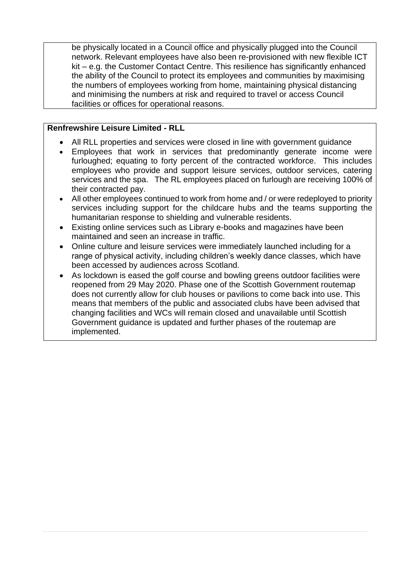be physically located in a Council office and physically plugged into the Council network. Relevant employees have also been re-provisioned with new flexible ICT kit – e.g. the Customer Contact Centre. This resilience has significantly enhanced the ability of the Council to protect its employees and communities by maximising the numbers of employees working from home, maintaining physical distancing and minimising the numbers at risk and required to travel or access Council facilities or offices for operational reasons.

### **Renfrewshire Leisure Limited - RLL**

- All RLL properties and services were closed in line with government guidance
- Employees that work in services that predominantly generate income were furloughed; equating to forty percent of the contracted workforce. This includes employees who provide and support leisure services, outdoor services, catering services and the spa. The RL employees placed on furlough are receiving 100% of their contracted pay.
- All other employees continued to work from home and / or were redeployed to priority services including support for the childcare hubs and the teams supporting the humanitarian response to shielding and vulnerable residents.
- Existing online services such as Library e-books and magazines have been maintained and seen an increase in traffic.
- Online culture and leisure services were immediately launched including for a range of physical activity, including children's weekly dance classes, which have been accessed by audiences across Scotland.
- As lockdown is eased the golf course and bowling greens outdoor facilities were reopened from 29 May 2020. Phase one of the Scottish Government routemap does not currently allow for club houses or pavilions to come back into use. This means that members of the public and associated clubs have been advised that changing facilities and WCs will remain closed and unavailable until Scottish Government guidance is updated and further phases of the routemap are implemented.